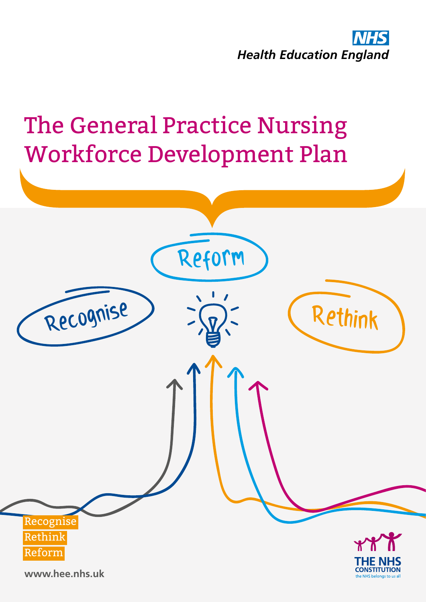

# The General Practice Nursing Workforce Development Plan

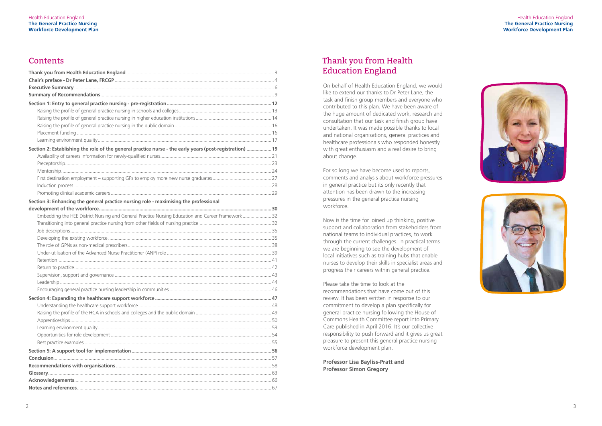## **Contents**

#### Health Education England **The General Practice Nursing Workforce Development Plan**





| Section 2: Establishing the role of the general practice nurse - the early years (post-registration)  19 |  |
|----------------------------------------------------------------------------------------------------------|--|
|                                                                                                          |  |
|                                                                                                          |  |
|                                                                                                          |  |
|                                                                                                          |  |
|                                                                                                          |  |
|                                                                                                          |  |
| Section 3: Enhancing the general practice nursing role - maximising the professional                     |  |
|                                                                                                          |  |
| Embedding the HEE District Nursing and General Practice Nursing Education and Career Framework32         |  |
|                                                                                                          |  |
|                                                                                                          |  |
|                                                                                                          |  |
|                                                                                                          |  |
|                                                                                                          |  |
|                                                                                                          |  |
|                                                                                                          |  |
|                                                                                                          |  |
|                                                                                                          |  |
|                                                                                                          |  |
|                                                                                                          |  |
|                                                                                                          |  |
|                                                                                                          |  |
|                                                                                                          |  |
|                                                                                                          |  |
|                                                                                                          |  |
|                                                                                                          |  |
|                                                                                                          |  |
|                                                                                                          |  |
|                                                                                                          |  |
|                                                                                                          |  |
|                                                                                                          |  |

# Thank you from Health Education England

On behalf of Health Education England, we would like to extend our thanks to Dr Peter Lane, the task and finish group members and everyone who contributed to this plan. We have been aware of the huge amount of dedicated work, research and consultation that our task and finish group have undertaken. It was made possible thanks to local and national organisations, general practices and healthcare professionals who responded honestly with great enthusiasm and a real desire to bring about change.

For so long we have become used to reports, comments and analysis about workforce pressures in general practice but its only recently that attention has been drawn to the increasing pressures in the general practice nursing workforce.

Now is the time for joined up thinking, positive support and collaboration from stakeholders from national teams to individual practices, to work through the current challenges. In practical terms we are beginning to see the development of local initiatives such as training hubs that enable nurses to develop their skills in specialist areas and progress their careers within general practice.

Please take the time to look at the recommendations that have come out of this review. It has been written in response to our commitment to develop a plan specifically for general practice nursing following the House of Commons Health Committee report into Primary Care published in April 2016. It's our collective responsibility to push forward and it gives us great pleasure to present this general practice nursing workforce development plan.

**Professor Lisa Bayliss-Pratt and Professor Simon Gregory**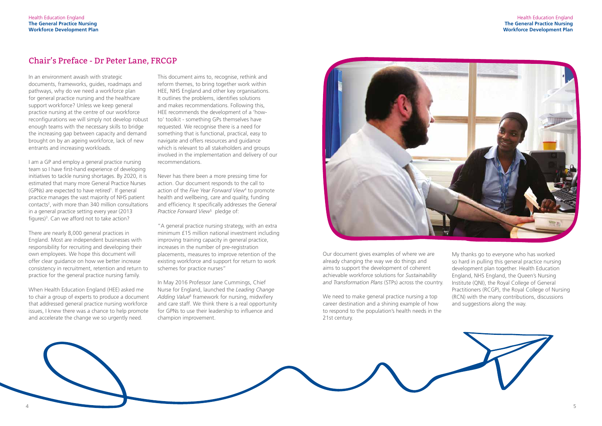

I am a GP and employ a general practice nursing team so I have first-hand experience of developing initiatives to tackle nursing shortages. By 2020, it is estimated that many more General Practice Nurses (GPNs) are expected to have retired<sup>1</sup>. If general practice manages the vast majority of NHS patient contacts<sup>2</sup>, with more than 340 million consultations in a general practice setting every year (2013 figures)<sup>3</sup>. Can we afford not to take action?

In an environment awash with strategic documents, frameworks, guides, roadmaps and pathways, why do we need a workforce plan for general practice nursing and the healthcare support workforce? Unless we keep general practice nursing at the centre of our workforce reconfigurations we will simply not develop robust enough teams with the necessary skills to bridge the increasing gap between capacity and demand brought on by an ageing workforce, lack of new entrants and increasing workloads.

There are nearly 8,000 general practices in England. Most are independent businesses with responsibility for recruiting and developing their own employees. We hope this document will offer clear guidance on how we better increase consistency in recruitment, retention and return to practice for the general practice nursing family.

When Health Education England (HEE) asked me to chair a group of experts to produce a document that addressed general practice nursing workforce issues, I knew there was a chance to help promote and accelerate the change we so urgently need.

This document aims to, recognise, rethink and reform themes, to bring together work within HEE, NHS England and other key organisations. It outlines the problems, identifies solutions and makes recommendations. Following this, HEE recommends the development of a 'howto' toolkit - something GPs themselves have requested. We recognise there is a need for something that is functional, practical, easy to navigate and offers resources and guidance which is relevant to all stakeholders and groups involved in the implementation and delivery of our recommendations.

Never has there been a more pressing time for action. Our document responds to the call to action of the *Five Year Forward View*<sup>4</sup> to promote health and wellbeing, care and quality, funding and efficiency. It specifically addresses the *General Practice Forward View*<sup>5</sup> pledge of:

"A general practice nursing strategy, with an extra minimum £15 million national investment including improving training capacity in general practice, increases in the number of pre-registration placements, measures to improve retention of the existing workforce and support for return to work schemes for practice nurses"

In May 2016 Professor Jane Cummings, Chief Nurse for England, launched the *Leading Change*  Adding Value<sup>6</sup> framework for nursing, midwifery and care staff. We think there is a real opportunity for GPNs to use their leadership to influence and champion improvement.



## Chair's Preface - Dr Peter Lane, FRCGP

Our document gives examples of where we are already changing the way we do things and aims to support the development of coherent achievable workforce solutions for *Sustainability and Transformation Plans* (STPs) across the country.

We need to make general practice nursing a top career destination and a shining example of how to respond to the population's health needs in the 21st century.

My thanks go to everyone who has worked so hard in pulling this general practice nursing development plan together. Health Education England, NHS England, the Queen's Nursing Institute (QNI), the Royal College of General Practitioners (RCGP), the Royal College of Nursing (RCN) with the many contributions, discussions and suggestions along the way.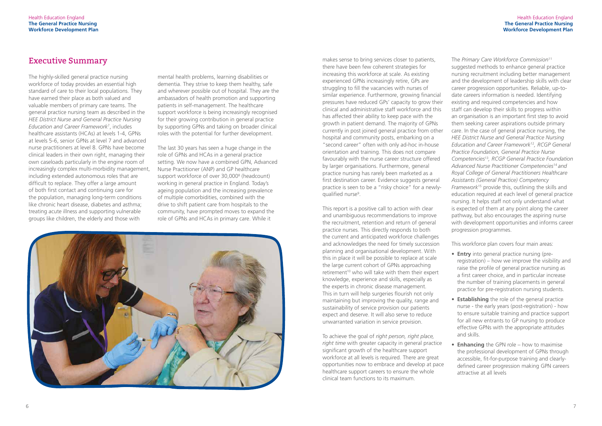The highly-skilled general practice nursing workforce of today provides an essential high standard of care to their local populations. They have earned their place as both valued and valuable members of primary care teams. The general practice nursing team as described in the *HEE District Nurse and General Practice Nursing Education and Career Framework*<sup>7</sup> , includes healthcare assistants (HCAs) at levels 1-4, GPNs at levels 5-6, senior GPNs at level 7 and advanced nurse practitioners at level 8. GPNs have become clinical leaders in their own right, managing their own caseloads particularly in the engine room of increasingly complex multi-morbidity management, including extended autonomous roles that are difficult to replace. They offer a large amount of both first contact and continuing care for the population, managing long-term conditions like chronic heart disease, diabetes and asthma; treating acute illness and supporting vulnerable groups like children, the elderly and those with

mental health problems, learning disabilities or dementia. They strive to keep them healthy, safe and wherever possible out of hospital. They are the ambassadors of health promotion and supporting patients in self-management. The healthcare support workforce is being increasingly recognised for their growing contribution in general practice by supporting GPNs and taking on broader clinical roles with the potential for further development.

The last 30 years has seen a huge change in the role of GPNs and HCAs in a general practice setting. We now have a combined GPN, Advanced Nurse Practitioner (ANP) and GP healthcare support workforce of over 30,000<sup>8</sup> (headcount) working in general practice in England. Today's ageing population and the increasing prevalence of multiple comorbidities, combined with the drive to shift patient care from hospitals to the community, have prompted moves to expand the role of GPNs and HCAs in primary care. While it



**Executive Summary** and the sense to bring services closer to patients, there have been few coherent strategies for increasing this workforce at scale. As existing experienced GPNs increasingly retire, GPs are struggling to fill the vacancies with nurses of similar experience. Furthermore, growing financial pressures have reduced GPs' capacity to grow their clinical and administrative staff workforce and this has affected their ability to keep pace with the growth in patient demand. The majority of GPNs currently in post joined general practice from other hospital and community posts, embarking on a "second career" often with only ad-hoc in-house orientation and training. This does not compare favourably with the nurse career structure offered by larger organisations. Furthermore, general practice nursing has rarely been marketed as a first destination career. Evidence suggests general practice is seen to be a "risky choice" for a newlyqualified nurse<sup>9</sup>.

> This report is a positive call to action with clear and unambiguous recommendations to improve the recruitment, retention and return of general practice nurses. This directly responds to both the current and anticipated workforce challenges and acknowledges the need for timely succession planning and organisational development. With this in place it will be possible to replace at scale the large current cohort of GPNs approaching retirement<sup>10</sup> who will take with them their expert knowledge, experience and skills, especially as the experts in chronic disease management. This in turn will help surgeries flourish not only maintaining but improving the quality, range and sustainability of service provision our patients expect and deserve. It will also serve to reduce unwarranted variation in service provision.

> To achieve the goal of *right person, right place, right time* with greater capacity in general practice significant growth of the healthcare support workforce at all levels is required. There are great opportunities now to embrace and develop at pace healthcare support careers to ensure the whole clinical team functions to its maximum.

The *Primary Care Workforce Commission*<sup>11</sup> suggested methods to enhance general practice nursing recruitment including better management and the development of leadership skills with clear career progression opportunities. Reliable, up-todate careers information is needed. Identifying existing and required competencies and how staff can develop their skills to progress within an organisation is an important first step to avoid them seeking career aspirations outside primary care. In the case of general practice nursing, the *HEE District Nurse and General Practice Nursing Education and Career Framework*12*, RCGP General Practice Foundation, General Practice Nurse Competencies*13*, RCGP General Practice Foundation Advanced Nurse Practitioner Competencies*14 *and Royal College of General Practitioners Healthcare Assistants (General Practice) Competency Framework*15 provide this, outlining the skills and education required at each level of general practice nursing. It helps staff not only understand what is expected of them at any point along the career pathway, but also encourages the aspiring nurse with development opportunities and informs career progression programmes.

This workforce plan covers four main areas:

- **Entry** into general practice nursing (preregistration) – how we improve the visibility and raise the profile of general practice nursing as a first career choice, and in particular increase the number of training placements in general practice for pre-registration nursing students.
- **Establishing** the role of the general practice nurse - the early years (post-registration) - how to ensure suitable training and practice support for all new entrants to GP nursing to produce effective GPNs with the appropriate attitudes and skills.
- **Enhancing** the GPN role how to maximise the professional development of GPNs through accessible, fit-for-purpose training and clearlydefined career progression making GPN careers attractive at all levels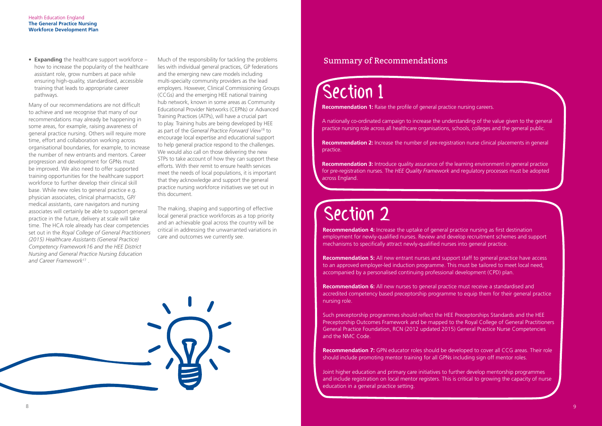**Recommendation 1:** Raise the profile of general practice nursing careers.

**Recommendation 2:** Increase the number of pre-registration nurse clinical placements in general practice.

A nationally co-ordinated campaign to increase the understanding of the value given to the general practice nursing role across all healthcare organisations, schools, colleges and the general public.

**Recommendation 3:** Introduce quality assurance of the learning environment in general practice for pre-registration nurses. The *HEE Quality Framework* and regulatory processes must be adopted across England.

**Recommendation 4:** Increase the uptake of general practice nursing as first destination employment for newly-qualified nurses. Review and develop recruitment schemes and support mechanisms to specifically attract newly-qualified nurses into general practice.

**Recommendation 5:** All new entrant nurses and support staff to general practice have access to an approved employer-led induction programme. This must be tailored to meet local need, accompanied by a personalised continuing professional development (CPD) plan.

### Summary of Recommendations

# Section 1

# Section 2

**Recommendation 6:** All new nurses to general practice must receive a standardised and accredited competency based preceptorship programme to equip them for their general practice nursing role.

Such preceptorship programmes should reflect the HEE Preceptorships Standards and the HEE Preceptorship Outcomes Framework and be mapped to the Royal College of General Practitioners General Practice Foundation, RCN (2012 updated 2015) General Practice Nurse Competencies and the NMC Code.

**Recommendation 7:** GPN educator roles should be developed to cover all CCG areas. Their role should include promoting mentor training for all GPNs including sign off mentor roles.

Joint higher education and primary care initiatives to further develop mentorship programmes and include registration on local mentor registers. This is critical to growing the capacity of nurse education in a general practice setting.

• **Expanding** the healthcare support workforce – how to increase the popularity of the healthcare assistant role, grow numbers at pace while ensuring high-quality, standardised, accessible training that leads to appropriate career pathways.

Many of our recommendations are not difficult to achieve and we recognise that many of our recommendations may already be happening in some areas, for example, raising awareness of general practice nursing. Others will require more time, effort and collaboration working across organisational boundaries, for example, to increase the number of new entrants and mentors. Career progression and development for GPNs must be improved. We also need to offer supported training opportunities for the healthcare support workforce to further develop their clinical skill base. While new roles to general practice e.g. physician associates, clinical pharmacists, GP/ medical assistants, care navigators and nursing associates will certainly be able to support general practice in the future, delivery at scale will take time. The HCA role already has clear competencies set out in the *Royal College of General Practitioners (2015) Healthcare Assistants (General Practice) Competency Framework16 and the HEE District Nursing and General Practice Nursing Education and Career Framework*17 .

Much of the responsibility for tackling the problems lies with individual general practices, GP federations and the emerging new care models including multi-specialty community providers as the lead employers. However, Clinical Commissioning Groups (CCGs) and the emerging HEE national training hub network, known in some areas as Community Educational Provider Networks (CEPNs) or Advanced Training Practices (ATPs), will have a crucial part to play. Training hubs are being developed by HEE as part of the *General Practice Forward View*18 to encourage local expertise and educational support to help general practice respond to the challenges. We would also call on those delivering the new STPs to take account of how they can support these efforts. With their remit to ensure health services meet the needs of local populations, it is important that they acknowledge and support the general practice nursing workforce initiatives we set out in this document.

The making, shaping and supporting of effective local general practice workforces as a top priority and an achievable goal across the country will be critical in addressing the unwarranted variations in care and outcomes we currently see.

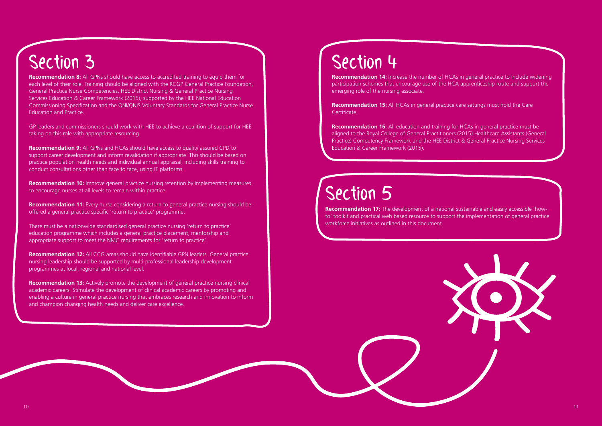

# Section 5

**Recommendation 14:** Increase the number of HCAs in general practice to include widening participation schemes that encourage use of the HCA apprenticeship route and support the emerging role of the nursing associate.

**Recommendation 15:** All HCAs in general practice care settings must hold the Care Certificate.

**Recommendation 16:** All education and training for HCAs in general practice must be aligned to the Royal College of General Practitioners (2015) Healthcare Assistants (General Practice) Competency Framework and the HEE District & General Practice Nursing Services Education & Career Framework (2015).

# Section 3 Section 4

**Recommendation 8:** All GPNs should have access to accredited training to equip them for each level of their role. Training should be aligned with the RCGP General Practice Foundation, General Practice Nurse Competencies, HEE District Nursing & General Practice Nursing Services Education & Career Framework (2015), supported by the HEE National Education Commissioning Specification and the QNI/QNIS Voluntary Standards for General Practice Nurse Education and Practice.

GP leaders and commissioners should work with HEE to achieve a coalition of support for HEE taking on this role with appropriate resourcing.

**Recommendation 9:** All GPNs and HCAs should have access to quality assured CPD to support career development and inform revalidation if appropriate. This should be based on practice population health needs and individual annual appraisal, including skills training to conduct consultations other than face to face, using IT platforms.

**Recommendation 10:** Improve general practice nursing retention by implementing measures to encourage nurses at all levels to remain within practice.

**Recommendation 11:** Every nurse considering a return to general practice nursing should be offered a general practice specific 'return to practice' programme.

There must be a nationwide standardised general practice nursing 'return to practice' education programme which includes a general practice placement, mentorship and appropriate support to meet the NMC requirements for 'return to practice'.

**Recommendation 12:** All CCG areas should have identifiable GPN leaders. General practice nursing leadership should be supported by multi-professional leadership development programmes at local, regional and national level.

**Recommendation 13:** Actively promote the development of general practice nursing clinical academic careers. Stimulate the development of clinical academic careers by promoting and enabling a culture in general practice nursing that embraces research and innovation to inform and champion changing health needs and deliver care excellence.

**Recommendation 17:** The development of a national sustainable and easily accessible 'howto' toolkit and practical web based resource to support the implementation of general practice workforce initiatives as outlined in this document.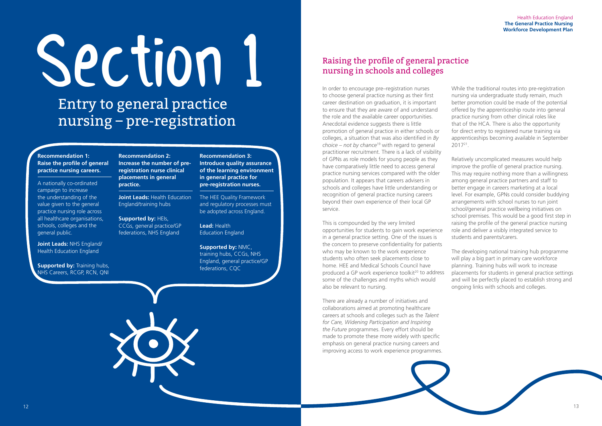# Section 1

Entry to general practice nursing – pre-registration

#### **Recommendation 1: Raise the profile of general practice nursing careers.**

**Supported by: Training hubs,** NHS Careers, RCGP, RCN, QNI

A nationally co-ordinated campaign to increase the understanding of the value given to the general practice nursing role across all healthcare organisations, schools, colleges and the general public.

**Joint Leads: Health Education** England/training hubs

**Joint Leads:** NHS England/ Health Education England

**Recommendation 2: Increase the number of preregistration nurse clinical placements in general practice.**

**Supported by:** HEIs, CCGs, general practice/GP federations, NHS England

**Recommendation 3: Introduce quality assurance of the learning environment in general practice for pre-registration nurses.**

The HEE Quality Framework and regulatory processes must be adopted across England.

**Lead:** Health Education England

**Supported by:** NMC, training hubs, CCGs, NHS England, general practice/GP federations, CQC

In order to encourage pre–registration nurses to choose general practice nursing as their first career destination on graduation, it is important to ensure that they are aware of and understand the role and the available career opportunities. Anecdotal evidence suggests there is little promotion of general practice in either schools or colleges, a situation that was also identified in *By choice – not by chance*19 with regard to general practitioner recruitment. There is a lack of visibility of GPNs as role models for young people as they have comparatively little need to access general practice nursing services compared with the older population. It appears that careers advisers in schools and colleges have little understanding or recognition of general practice nursing careers beyond their own experience of their local GP service.

This is compounded by the very limited opportunities for students to gain work experience in a general practice setting. One of the issues is the concern to preserve confidentiality for patients who may be known to the work experience students who often seek placements close to home. HEE and Medical Schools Council have produced a GP work experience toolkit<sup>20</sup> to address some of the challenges and myths which would also be relevant to nursing.

There are already a number of initiatives and collaborations aimed at promoting healthcare careers at schools and colleges such as the *Talent for Care, Widening Participation and Inspiring the Future* programmes. Every effort should be made to promote these more widely with specific emphasis on general practice nursing careers and improving access to work experience programmes.



While the traditional routes into pre-registration nursing via undergraduate study remain, much better promotion could be made of the potential offered by the apprenticeship route into general practice nursing from other clinical roles like that of the HCA. There is also the opportunity for direct entry to registered nurse training via apprenticeships becoming available in September 201721.

Relatively uncomplicated measures would help improve the profile of general practice nursing. This may require nothing more than a willingness among general practice partners and staff to better engage in careers marketing at a local level. For example, GPNs could consider buddying arrangements with school nurses to run joint school/general practice wellbeing initiatives on school premises. This would be a good first step in raising the profile of the general practice nursing role and deliver a visibly integrated service to students and parents/carers.

The developing national training hub programme will play a big part in primary care workforce planning. Training hubs will work to increase placements for students in general practice settings and will be perfectly placed to establish strong and ongoing links with schools and colleges.

# Raising the profile of general practice nursing in schools and colleges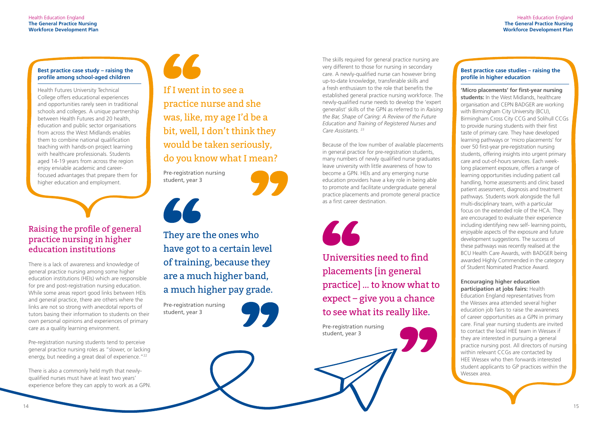#### **Best practice case study – raising the profile among school-aged children**

Health Futures University Technical College offers educational experiences and opportunities rarely seen in traditional schools and colleges. A unique partnership between Health Futures and 20 health, education and public sector organisations from across the West Midlands enables them to combine national qualification teaching with hands-on project learning with healthcare professionals. Students aged 14-19 years from across the region enjoy enviable academic and careerfocused advantages that prepare them for higher education and employment.

> They are the ones who have got to a certain level of training, because they are a much higher band, a much higher pay grade.

Pre-registration nursing students tend to perceive general practice nursing roles as "slower, or lacking energy, but needing a great deal of experience."<sup>22</sup>

Pre-registration nursing student, year 3

 $\overline{16}$ 



Pre-registration nursing student, year 3

If I went in to see a practice nurse and she was, like, my age I'd be a bit, well, I don't think they would be taken seriously, do you know what I mean?

# Raising the profile of general practice nursing in higher education institutions

There is a lack of awareness and knowledge of general practice nursing among some higher education institutions (HEIs) which are responsible for pre and post-registration nursing education. While some areas report good links between HEIs and general practice, there are others where the links are not so strong with anecdotal reports of tutors basing their information to students on their own personal opinions and experiences of primary care as a quality learning environment.

The skills required for general practice nursing are very different to those for nursing in secondary care. A newly-qualified nurse can however bring up-to-date knowledge, transferable skills and a fresh enthusiasm to the role that benefits the established general practice nursing workforce. The newly-qualified nurse needs to develop the 'expert generalist' skills of the GPN as referred to in *Raising the Bar, Shape of Caring: A Review of the Future Education and Training of Registered Nurses and*  Care Assistants.<sup>23</sup>

There is also a commonly held myth that newlyqualified nurses must have at least two years' experience before they can apply to work as a GPN.



#### **Best practice case studies – raising the profile in higher education**

**'Micro placements' for first-year nursing students:** In the West Midlands, healthcare organisation and CEPN BADGER are working with Birmingham City University (BCU), Birmingham Cross City CCG and Solihull CCGs to provide nursing students with their first taste of primary care. They have developed learning pathways or 'micro placements' for over 50 first-year pre-registration nursing students, offering insights into urgent primary care and out-of-hours services. Each weeklong placement exposure, offers a range of learning opportunities including patient call handling, home assessments and clinic based patient assessment, diagnosis and treatment pathways. Students work alongside the full multi-disciplinary team, with a particular focus on the extended role of the HCA. They are encouraged to evaluate their experience including identifying new self- learning points, enjoyable aspects of the exposure and future development suggestions. The success of these pathways was recently realised at the BCU Health Care Awards, with BADGER being awarded Highly Commended in the category of Student Nominated Practice Award.

#### **Encouraging higher education participation at jobs fairs:** Health

Education England representatives from the Wessex area attended several higher education job fairs to raise the awareness of career opportunities as a GPN in primary care. Final year nursing students are invited to contact the local HEE team in Wessex if they are interested in pursuing a general practice nursing post. All directors of nursing within relevant CCGs are contacted by HEE Wessex who then forwards interested student applicants to GP practices within the Wessex area.

Because of the low number of available placements in general practice for pre-registration students, many numbers of newly qualified nurse graduates leave university with little awareness of how to become a GPN. HEIs and any emerging nurse education providers have a key role in being able to promote and facilitate undergraduate general practice placements and promote general practice as a first career destination.



Universities need to find placements [in general practice] … to know what to expect – give you a chance to see what its really like.

Pre-registration nursing student, year 3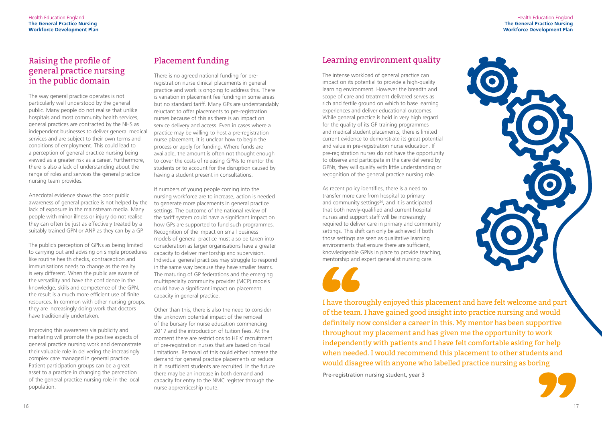

# Raising the profile of general practice nursing in the public domain

The way general practice operates is not particularly well understood by the general public. Many people do not realise that unlike hospitals and most community health services, general practices are contracted by the NHS as independent businesses to deliver general medical services and are subject to their own terms and conditions of employment. This could lead to a perception of general practice nursing being viewed as a greater risk as a career. Furthermore, there is also a lack of understanding about the range of roles and services the general practice nursing team provides.

Anecdotal evidence shows the poor public awareness of general practice is not helped by the lack of exposure in the mainstream media. Many people with minor illness or injury do not realise they can often be just as effectively treated by a suitably trained GPN or ANP as they can by a GP.

The public's perception of GPNs as being limited to carrying out and advising on simple procedures like routine health checks, contraception and immunisations needs to change as the reality is very different. When the public are aware of the versatility and have the confidence in the knowledge, skills and competence of the GPN, the result is a much more efficient use of finite resources. In common with other nursing groups, they are increasingly doing work that doctors have traditionally undertaken.

Improving this awareness via publicity and marketing will promote the positive aspects of general practice nursing work and demonstrate their valuable role in delivering the increasingly complex care managed in general practice. Patient participation groups can be a great asset to a practice in changing the perception of the general practice nursing role in the local population.

# Placement funding

There is no agreed national funding for preregistration nurse clinical placements in general practice and work is ongoing to address this. There is variation in placement fee funding in some areas but no standard tariff. Many GPs are understandably reluctant to offer placements to pre-registration nurses because of this as there is an impact on service delivery and access. Even in cases where a practice may be willing to host a pre-registration nurse placement, it is unclear how to begin the process or apply for funding. Where funds are available, the amount is often not thought enough to cover the costs of releasing GPNs to mentor the students or to account for the disruption caused by having a student present in consultations.

If numbers of young people coming into the nursing workforce are to increase, action is needed to generate more placements in general practice settings. The outcome of the national review of the tariff system could have a significant impact on how GPs are supported to fund such programmes. Recognition of the impact on small business models of general practice must also be taken into consideration as larger organisations have a greater capacity to deliver mentorship and supervision. Individual general practices may struggle to respond in the same way because they have smaller teams. The maturing of GP federations and the emerging multispecialty community provider (MCP) models could have a significant impact on placement capacity in general practice.

Other than this, there is also the need to consider the unknown potential impact of the removal of the bursary for nurse education commencing 2017 and the introduction of tuition fees. At the moment there are restrictions to HEIs' recruitment of pre-registration nurses that are based on fiscal limitations. Removal of this could either increase the demand for general practice placements or reduce it if insufficient students are recruited. In the future there may be an increase in both demand and capacity for entry to the NMC register through the nurse apprenticeship route.

# Learning environment quality

The intense workload of general practice can impact on its potential to provide a high-quality learning environment. However the breadth and scope of care and treatment delivered serves as rich and fertile ground on which to base learning experiences and deliver educational outcomes. While general practice is held in very high regard for the quality of its GP training programmes and medical student placements, there is limited current evidence to demonstrate its great potential and value in pre-registration nurse education. If pre-registration nurses do not have the opportunity to observe and participate in the care delivered by GPNs, they will qualify with little understanding or recognition of the general practice nursing role.

As recent policy identifies, there is a need to transfer more care from hospital to primary and community settings<sup>24</sup>, and it is anticipated that both newly-qualified and current hospital nurses and support staff will be increasingly required to deliver care in primary and community settings. This shift can only be achieved if both those settings are seen as qualitative learning environments that ensure there are sufficient, knowledgeable GPNs in place to provide teaching, mentorship and expert generalist nursing care.

Pre-registration nursing student, year 3

I have thoroughly enjoyed this placement and have felt welcome and part of the team. I have gained good insight into practice nursing and would definitely now consider a career in this. My mentor has been supportive throughout my placement and has given me the opportunity to work independently with patients and I have felt comfortable asking for help when needed. I would recommend this placement to other students and would disagree with anyone who labelled practice nursing as boring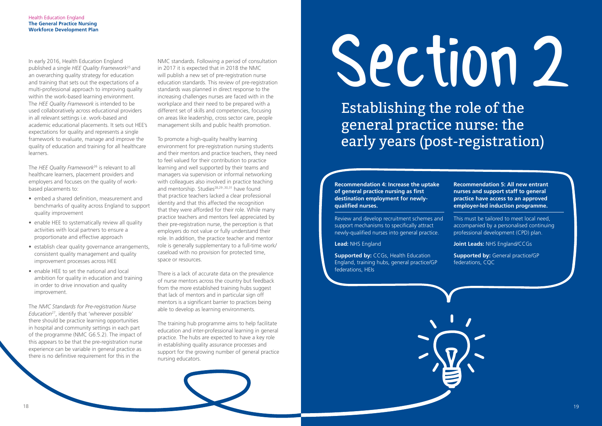In early 2016, Health Education England published a single *HEE Quality Framework*25 and an overarching quality strategy for education and training that sets out the expectations of a multi-professional approach to improving quality within the work-based learning environment. The *HEE Quality Framework* is intended to be used collaboratively across educational providers in all relevant settings i.e. work-based and academic educational placements. It sets out HEE's expectations for quality and represents a single framework to evaluate, manage and improve the quality of education and training for all healthcare learners.

The *HEE Quality Framework*26 is relevant to all healthcare learners, placement providers and employers and focuses on the quality of workbased placements to:

- embed a shared definition, measurement and benchmarks of quality across England to support quality improvement
- enable HEE to systematically review all quality activities with local partners to ensure a proportionate and effective approach
- establish clear quality governance arrangements, consistent quality management and quality improvement processes across HEE
- enable HEE to set the national and local ambition for quality in education and training in order to drive innovation and quality improvement.

The *NMC Standards for Pre-registration Nurse Education*27, identify that 'wherever possible' there should be practice learning opportunities in hospital and community settings in each part of the programme (NMC G6.5.2). The impact of this appears to be that the pre-registration nurse experience can be variable in general practice as there is no definitive requirement for this in the

NMC standards. Following a period of consultation in 2017 it is expected that in 2018 the NMC will publish a new set of pre-registration nurse education standards. This review of pre-registration standards was planned in direct response to the increasing challenges nurses are faced with in the workplace and their need to be prepared with a different set of skills and competencies, focusing on areas like leadership, cross sector care, people management skills and public health promotion.

> **Supported by: CCGs, Health Education** England, training hubs, general practice/GP federations, HEIs

To promote a high-quality healthy learning environment for pre-registration nursing students and their mentors and practice teachers, they need to feel valued for their contribution to practice learning and well supported by their teams and managers via supervision or informal networking with colleagues also involved in practice teaching and mentorship. Studies<sup>28,29,30,31</sup> have found that practice teachers lacked a clear professional identity and that this affected the recognition that they were afforded for their role. While many practice teachers and mentors feel appreciated by their pre-registration nurse, the perception is that employers do not value or fully understand their role. In addition, the practice teacher and mentor role is generally supplementary to a full-time work/ caseload with no provision for protected time, space or resources.

There is a lack of accurate data on the prevalence of nurse mentors across the country but feedback from the more established training hubs suggest that lack of mentors and in particular sign off mentors is a significant barrier to practices being able to develop as learning environments.

The training hub programme aims to help facilitate education and inter-professional learning in general practice. The hubs are expected to have a key role in establishing quality assurance processes and support for the growing number of general practice nursing educators.

# Section2

# Establishing the role of the general practice nurse: the early years (post-registration)

**Recommendation 4: Increase the uptake of general practice nursing as first destination employment for newlyqualified nurses.** 

Review and develop recruitment schemes and support mechanisms to specifically attract newly-qualified nurses into general practice.

**Lead:** NHS England

**Recommendation 5: All new entrant nurses and support staff to general practice have access to an approved employer-led induction programme.** 

This must be tailored to meet local need, accompanied by a personalised continuing professional development (CPD) plan.

**Joint Leads:** NHS England/CCGs

**Supported by:** General practice/GP federations, CQC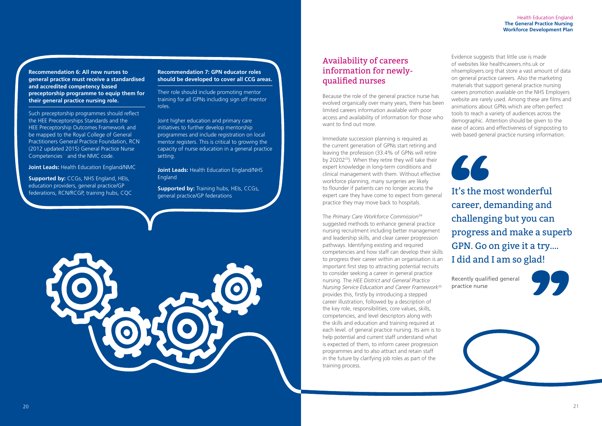# Availability of careers information for newlyqualified nurses

Because the role of the general practice nurse has evolved organically over many years, there has been limited careers information available with poor access and availability of information for those who want to find out more.

Immediate succession planning is required as the current generation of GPNs start retiring and leaving the profession (33.4% of GPNs will retire by 2020233). When they retire they will take their expert knowledge in long-term conditions and clinical management with them. Without effective workforce planning, many surgeries are likely to flounder if patients can no longer access the expert care they have come to expect from general practice they may move back to hospitals.

The *Primary Care Workforce Commission*<sup>34</sup> suggested methods to enhance general practice nursing recruitment including better management and leadership skills, and clear career progression pathways. Identifying existing and required competencies and how staff can develop their skills to progress their career within an organisation is an important first step to attracting potential recruits to consider seeking a career in general practice nursing. The *HEE District and General Practice Nursing Service Education and Career Framework*<sup>35</sup> provides this, firstly by introducing a stepped career illustration, followed by a description of the key role, responsibilities, core values, skills, competencies, and level descriptors along with the skills and education and training required at each level. of general practice nursing. Its aim is to help potential and current staff understand what is expected of them, to inform career progression programmes and to also attract and retain staff in the future by clarifying job roles as part of the training process.





Such preceptorship programmes should reflect the HEE Preceptorships Standards and the HEE Preceptorship Outcomes Framework and be mapped to the Royal College of General Practitioners General Practice Foundation, RCN (2012 updated 2015) General Practice Nurse Competencies<sup>32</sup> and the NMC code.

> **Supported by:** Training hubs, HEIs, CCGs, general practice/GP federations



Evidence suggests that little use is made of websites like healthcareers.nhs.uk or nhsemployers.org that store a vast amount of data on general practice careers. Also the marketing materials that support general practice nursing careers promotion available on the NHS Employers website are rarely used. Among these are films and animations about GPNs which are often perfect tools to reach a variety of audiences across the demographic. Attention should be given to the ease of access and effectiveness of signposting to web based general practice nursing information.

It's the most wonderful career, demanding and challenging but you can progress and make a superb GPN. Go on give it a try…. I did and I am so glad!

Recently qualified general practice nurse





**Recommendation 6: All new nurses to general practice must receive a standardised and accredited competency based preceptorship programme to equip them for their general practice nursing role.** 

**Joint Leads:** Health Education England/NMC

**Supported by:** CCGs, NHS England, HEIs, education providers, general practice/GP federations, RCN/RCGP, training hubs, CQC

#### **Recommendation 7: GPN educator roles should be developed to cover all CCG areas.**

Their role should include promoting mentor training for all GPNs including sign off mentor roles.

Joint higher education and primary care initiatives to further develop mentorship programmes and include registration on local mentor registers. This is critical to growing the capacity of nurse education in a general practice setting.

**Joint Leads:** Health Education England/NHS England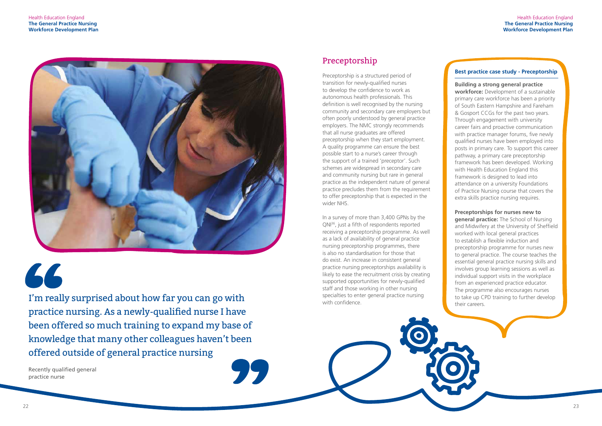

66

#### Health Education England **The General Practice Nursing Workforce Development Plan**

I'm really surprised about how far you can go with practice nursing. As a newly-qualified nurse I have been offered so much training to expand my base of knowledge that many other colleagues haven't been offered outside of general practice nursing

Recently qualified general practice nurse

# Preceptorship

In a survey of more than 3,400 GPNs by the QNI36, just a fifth of respondents reported receiving a preceptorship programme. As well as a lack of availability of general practice nursing preceptorship programmes, there is also no standardisation for those that do exist. An increase in consistent general practice nursing preceptorships availability is likely to ease the recruitment crisis by creating supported opportunities for newly-qualified staff and those working in other nursing specialties to enter general practice nursing with confidence

Preceptorship is a structured period of transition for newly-qualified nurses to develop the confidence to work as autonomous health professionals. This definition is well recognised by the nursing community and secondary care employers but often poorly understood by general practice employers. The NMC strongly recommends that all nurse graduates are offered preceptorship when they start employment. A quality programme can ensure the best possible start to a nurse's career through the support of a trained 'preceptor'. Such schemes are widespread in secondary care and community nursing but rare in general practice as the independent nature of general practice precludes them from the requirement to offer preceptorship that is expected in the wider NHS.

#### **Best practice case study - Preceptorship**

**Building a strong general practice** 

**workforce:** Development of a sustainable primary care workforce has been a priority of South Eastern Hampshire and Fareham & Gosport CCGs for the past two years. Through engagement with university career fairs and proactive communication with practice manager forums, five newly qualified nurses have been employed into posts in primary care. To support this career pathway, a primary care preceptorship framework has been developed. Working with Health Education England this framework is designed to lead into attendance on a university Foundations of Practice Nursing course that covers the extra skills practice nursing requires.

#### **Preceptorships for nurses new to**

**general practice:** The School of Nursing and Midwifery at the University of Sheffield worked with local general practices to establish a flexible induction and preceptorship programme for nurses new to general practice. The course teaches the essential general practice nursing skills and involves group learning sessions as well as individual support visits in the workplace from an experienced practice educator. The programme also encourages nurses to take up CPD training to further develop their careers.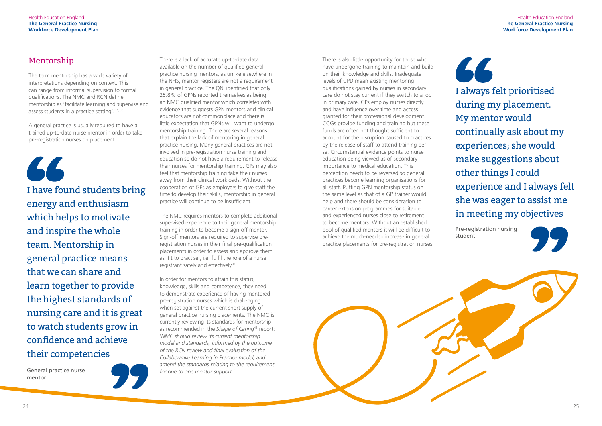

# Mentorship

66

The term mentorship has a wide variety of interpretations depending on context. This can range from informal supervision to formal qualifications. The NMC and RCN define mentorship as 'facilitate learning and supervise and assess students in a practice setting'.37, 38

A general practice is usually required to have a trained up-to-date nurse mentor in order to take pre-registration nurses on placement.

There is a lack of accurate up-to-date data available on the number of qualified general practice nursing mentors, as unlike elsewhere in the NHS, mentor registers are not a requirement in general practice. The QNI identified that only 25.8% of GPNs reported themselves as being an NMC qualified mentor which correlates with evidence that suggests GPN mentors and clinical educators are not commonplace and there is little expectation that GPNs will want to undergo mentorship training. There are several reasons that explain the lack of mentoring in general practice nursing. Many general practices are not involved in pre-registration nurse training and education so do not have a requirement to release their nurses for mentorship training. GPs may also feel that mentorship training take their nurses away from their clinical workloads. Without the cooperation of GPs as employers to give staff the time to develop their skills, mentorship in general practice will continue to be insufficient.

66 I always felt prioritised during my placement. My mentor would continually ask about my experiences; she would make suggestions about other things I could experience and I always felt she was eager to assist me in meeting my objectives

The NMC requires mentors to complete additional supervised experience to their general mentorship training in order to become a sign-off mentor. Sign-off mentors are required to supervise preregistration nurses in their final pre-qualification placements in order to assess and approve them as 'fit to practise', i.e. fulfil the role of a nurse registrant safely and effectively.40

In order for mentors to attain this status, knowledge, skills and competence, they need to demonstrate experience of having mentored pre-registration nurses which is challenging when set against the current short supply of general practice nursing placements. The NMC is currently reviewing its standards for mentorship as recommended in the *Shape of Caring*41 report: '*NMC should review its current mentorship model and standards, informed by the outcome of the RCN review and final evaluation of the Collaborative Learning in Practice model, and amend the standards relating to the requirement for one to one mentor support.*'

Pre-registration nursing student



I have found students bring energy and enthusiasm which helps to motivate and inspire the whole team. Mentorship in general practice means that we can share and learn together to provide the highest standards of nursing care and it is great to watch students grow in confidence and achieve their competencies

General practice nurse mentor



There is also little opportunity for those who have undergone training to maintain and build on their knowledge and skills. Inadequate levels of CPD mean existing mentoring qualifications gained by nurses in secondary care do not stay current if they switch to a job in primary care. GPs employ nurses directly and have influence over time and access granted for their professional development. CCGs provide funding and training but these funds are often not thought sufficient to account for the disruption caused to practices by the release of staff to attend training per se. Circumstantial evidence points to nurse education being viewed as of secondary importance to medical education. This perception needs to be reversed so general practices become learning organisations for all staff. Putting GPN mentorship status on the same level as that of a GP trainer would help and there should be consideration to career extension programmes for suitable and experienced nurses close to retirement to become mentors. Without an established pool of qualified mentors it will be difficult to achieve the much-needed increase in general practice placements for pre-registration nurses.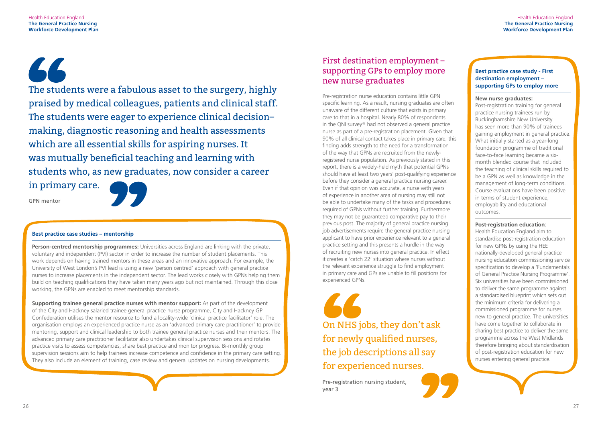66

#### Health Education England **The General Practice Nursing Workforce Development Plan**

The students were a fabulous asset to the surgery, highly praised by medical colleagues, patients and clinical staff. The students were eager to experience clinical decision– making, diagnostic reasoning and health assessments which are all essential skills for aspiring nurses. It was mutually beneficial teaching and learning with students who, as new graduates, now consider a career in primary care.

GPN mentor



#### **Best practice case studies – mentorship**

**Person-centred mentorship programmes:** Universities across England are linking with the private, voluntary and independent (PVI) sector in order to increase the number of student placements. This work depends on having trained mentors in these areas and an innovative approach. For example, the University of West London's PVI lead is using a new 'person centred' approach with general practice nurses to increase placements in the independent sector. The lead works closely with GPNs helping them build on teaching qualifications they have taken many years ago but not maintained. Through this close working, the GPNs are enabled to meet mentorship standards.

**Supporting trainee general practice nurses with mentor support:** As part of the development of the City and Hackney salaried trainee general practice nurse programme, City and Hackney GP Confederation utilises the mentor resource to fund a locality-wide 'clinical practice facilitator' role. The organisation employs an experienced practice nurse as an 'advanced primary care practitioner' to provide mentoring, support and clinical leadership to both trainee general practice nurses and their mentors. The advanced primary care practitioner facilitator also undertakes clinical supervision sessions and rotates practice visits to assess competencies, share best practice and monitor progress. Bi-monthly group supervision sessions aim to help trainees increase competence and confidence in the primary care setting. They also include an element of training, case review and general updates on nursing developments.

> Pre-registration nursing student, year 3

On NHS jobs, they don't ask for newly qualified nurses, the job descriptions all say for experienced nurses.

# First destination employment – supporting GPs to employ more new nurse graduates

Pre-registration nurse education contains little GPN specific learning. As a result, nursing graduates are often unaware of the different culture that exists in primary care to that in a hospital. Nearly 80% of respondents in the QNI survey<sup>42</sup> had not observed a general practice nurse as part of a pre-registration placement. Given that 90% of all clinical contact takes place in primary care, this finding adds strength to the need for a transformation of the way that GPNs are recruited from the newlyregistered nurse population. As previously stated in this report, there is a widely-held myth that potential GPNs should have at least two years' post-qualifying experience before they consider a general practice nursing career. Even if that opinion was accurate, a nurse with years of experience in another area of nursing may still not be able to undertake many of the tasks and procedures required of GPNs without further training. Furthermore they may not be guaranteed comparative pay to their previous post. The majority of general practice nursing job advertisements require the general practice nursing applicant to have prior experience relevant to a general practice setting and this presents a hurdle in the way of recruiting new nurses into general practice. In effect it creates a 'catch 22' situation where nurses without the relevant experience struggle to find employment in primary care and GPs are unable to fill positions for experienced GPNs.

#### **Best practice case study - First destination employment – supporting GPs to employ more**

#### **New nurse graduates:**

Post-registration training for general practice nursing trainees run by Buckinghamshire New University has seen more than 90% of trainees gaining employment in general practice. What initially started as a year-long foundation programme of traditional face-to-face learning became a sixmonth blended course that included the teaching of clinical skills required to be a GPN as well as knowledge in the management of long-term conditions. Course evaluations have been positive in terms of student experience, employability and educational outcomes.

#### **Post-registration education**:

Health Education England aim to standardise post-registration education for new GPNs by using the HEE nationally-developed general practice nursing education commissioning service specification to develop a 'Fundamentals of General Practice Nursing Programme'. Six universities have been commissioned to deliver the same programme against a standardised blueprint which sets out the minimum criteria for delivering a commissioned programme for nurses new to general practice. The universities have come together to collaborate in sharing best practice to deliver the same programme across the West Midlands therefore bringing about standardisation of post-registration education for new nurses entering general practice.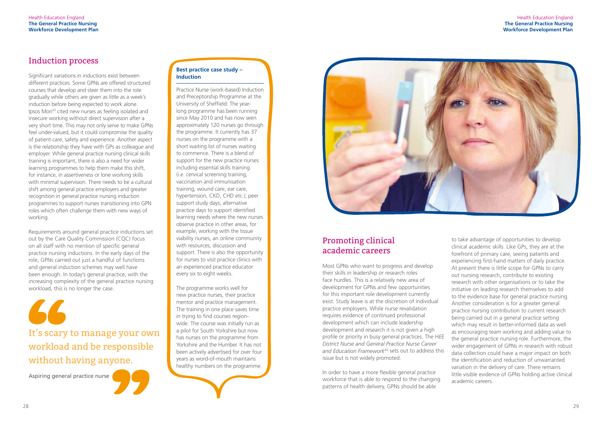# Induction process

Significant variations in inductions exist between different practices. Some GPNs are offered structured courses that develop and steer them into the role gradually while others are given as little as a week's induction before being expected to work alone. Ipsos Mori43 cited new nurses as feeling isolated and insecure working without direct supervision after a very short time. This may not only serve to make GPNs feel under-valued, but it could compromise the quality of patient care, safety and experience. Another aspect is the relationship they have with GPs as colleague and employer. While general practice nursing clinical skills training is important, there is also a need for wider learning programmes to help them make this shift, for instance, in assertiveness or lone working skills with minimal supervision. There needs to be a cultural shift among general practice employers and greater recognition in general practice nursing induction programmes to support nurses transitioning into GPN roles which often challenge them with new ways of working.

Requirements around general practice inductions set out by the Care Quality Commission (CQC) focus on all staff with no mention of specific general practice nursing inductions. In the early days of the role, GPNs carried out just a handful of functions and general induction schemes may well have been enough. In today's general practice, with the increasing complexity of the general practice nursing workload, this is no longer the case.

Aspiring general practice nurse

It's scary to manage your own workload and be responsible without having anyone.

#### **Best practice case study – Induction**

Practice Nurse (work-based) Induction and Preceptorship Programme at the University of Sheffield: The yearlong programme has been running since May 2010 and has now seen approximately 120 nurses go through the programme. It currently has 37 nurses on the programme with a short waiting list of nurses waiting to commence. There is a blend of support for the new practice nurses including essential skills training (i.e. cervical screening training, vaccination and immunisation training, wound care, ear care, hypertension, CKD, CHD etc.); peer support study days; alternative practice days to support identified learning needs where the new nurses observe practice in other areas, for example, working with the tissue viability nurses, an online community with resources, discussion and support. There is also the opportunity for nurses to visit practice clinics with an experienced practice educator every six to eight weeks.

The programme works well for new practice nurses, their practice mentor and practice management. The training in one place saves time in trying to find courses regionwide. The course was initially run as a pilot for South Yorkshire but now has nurses on the programme from Yorkshire and the Humber. It has not been actively advertised for over four years as word-of-mouth maintains healthy numbers on the programme.



# Promoting clinical academic careers

Most GPNs who want to progress and develop their skills in leadership or research roles face hurdles. This is a relatively new area of development for GPNs and few opportunities for this important role development currently exist. Study leave is at the discretion of individual practice employers. While nurse revalidation requires evidence of continued professional development which can include leadership development and research it is not given a high profile or priority in busy general practices. The H*EE District Nurse and General Practice Nurse Career and Education Framework*44 sets out to address this issue but is not widely promoted.

In order to have a more flexible general practice workforce that is able to respond to the changing patterns of health delivery, GPNs should be able

to take advantage of opportunities to develop clinical academic skills. Like GPs, they are at the forefront of primary care, seeing patients and experiencing first-hand matters of daily practice. At present there is little scope for GPNs to carry out nursing research, contribute to existing research with other organisations or to take the initiative on leading research themselves to add to the evidence base for general practice nursing. Another consideration is for a greater general practice nursing contribution to current research being carried out in a general practice setting which may result in better-informed data as well as encouraging team working and adding value to the general practice nursing role. Furthermore, the wider engagement of GPNs in research with robust data collection could have a major impact on both the identification and reduction of unwarranted variation in the delivery of care. There remains little visible evidence of GPNs holding active clinical academic careers.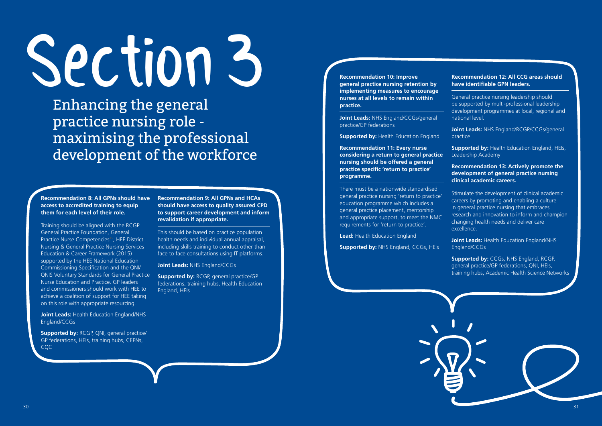

# Section3

Enhancing the general practice nursing role maximising the professional development of the workforce

**Recommendation 8: All GPNs should have access to accredited training to equip them for each level of their role.** 

Training should be aligned with the RCGP General Practice Foundation, General Practice Nurse Competencies<sup>45</sup>, HEE District Nursing & General Practice Nursing Services Education & Career Framework (2015) supported by the HEE National Education Commissioning Specification and the QNI/ QNIS Voluntary Standards for General Practice Nurse Education and Practice. GP leaders and commissioners should work with HEE to achieve a coalition of support for HEE taking on this role with appropriate resourcing.

**Joint Leads:** Health Education England/NHS England/CCGs

**Supported by:** RCGP, QNI, general practice/ GP federations, HEIs, training hubs, CEPNs, CQC

**Recommendation 10: Improve general practice nursing retention by implementing measures to encourage nurses at all levels to remain within practice.**

**Supported by: RCGP, general practice/GP** federations, training hubs, Health Education England, HEIs

**Joint Leads:** NHS England/CCGs/general practice/GP federations

**Supported by: Health Education England** 

**Recommendation 11: Every nurse considering a return to general practice nursing should be offered a general practice specific 'return to practice' programme.** 

> **Joint Leads: Health Education England/NHS** England/CCGs

There must be a nationwide standardised general practice nursing 'return to practice' education programme which includes a general practice placement, mentorship and appropriate support, to meet the NMC requirements for 'return to practice'.

**Lead:** Health Education England

**Supported by:** NHS England, CCGs, HEIs

**Recommendation 9: All GPNs and HCAs should have access to quality assured CPD to support career development and inform revalidation if appropriate.** 

This should be based on practice population health needs and individual annual appraisal, including skills training to conduct other than face to face consultations using IT platforms.

**Joint Leads:** NHS England/CCGs

#### **Recommendation 12: All CCG areas should have identifiable GPN leaders.**

General practice nursing leadership should be supported by multi-professional leadership development programmes at local, regional and national level.

**Joint Leads:** NHS England/RCGP/CCGs/general practice

**Supported by:** Health Education England, HEIs, Leadership Academy

**Recommendation 13: Actively promote the development of general practice nursing clinical academic careers.** 

Stimulate the development of clinical academic careers by promoting and enabling a culture in general practice nursing that embraces research and innovation to inform and champion changing health needs and deliver care excellence.

**Supported by:** CCGs, NHS England, RCGP, general practice/GP federations, QNI, HEIs, training hubs, Academic Health Science Networks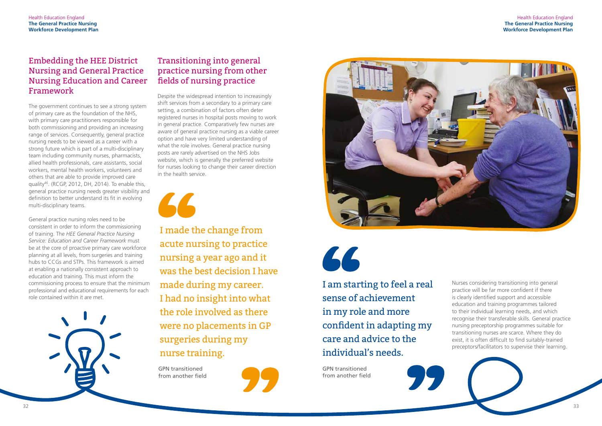

# Embedding the HEE District Nursing and General Practice Nursing Education and Career Framework

The government continues to see a strong system of primary care as the foundation of the NHS, with primary care practitioners responsible for both commissioning and providing an increasing range of services. Consequently, general practice nursing needs to be viewed as a career with a strong future which is part of a multi-disciplinary team including community nurses, pharmacists, allied health professionals, care assistants, social workers, mental health workers, volunteers and others that are able to provide improved care quality46. (RCGP, 2012, DH, 2014). To enable this, general practice nursing needs greater visibility and definition to better understand its fit in evolving multi-disciplinary teams.

General practice nursing roles need to be consistent in order to inform the commissioning of training. The *HEE General Practice Nursing Service: Education and Career Framework* must be at the core of proactive primary care workforce planning at all levels, from surgeries and training hubs to CCGs and STPs. This framework is aimed at enabling a nationally consistent approach to education and training. This must inform the commissioning process to ensure that the minimum professional and educational requirements for each role contained within it are met.



# Transitioning into general practice nursing from other fields of nursing practice

Despite the widespread intention to increasingly shift services from a secondary to a primary care setting, a combination of factors often deter registered nurses in hospital posts moving to work in general practice. Comparatively few nurses are aware of general practice nursing as a viable career option and have very limited understanding of what the role involves. General practice nursing posts are rarely advertised on the NHS Jobs website, which is generally the preferred website for nurses looking to change their career direction in the health service.



GPN transitioned from another field





66

I made the change from acute nursing to practice nursing a year ago and it was the best decision I have made during my career. I had no insight into what the role involved as there were no placements in GP surgeries during my nurse training.

> GPN transitioned from another field



I am starting to feel a real sense of achievement in my role and more confident in adapting my care and advice to the individual's needs.

Nurses considering transitioning into general practice will be far more confident if there is clearly identified support and accessible education and training programmes tailored to their individual learning needs, and which recognise their transferable skills. General practice nursing preceptorship programmes suitable for transitioning nurses are scarce. Where they do exist, it is often difficult to find suitably-trained preceptors/facilitators to supervise their learning.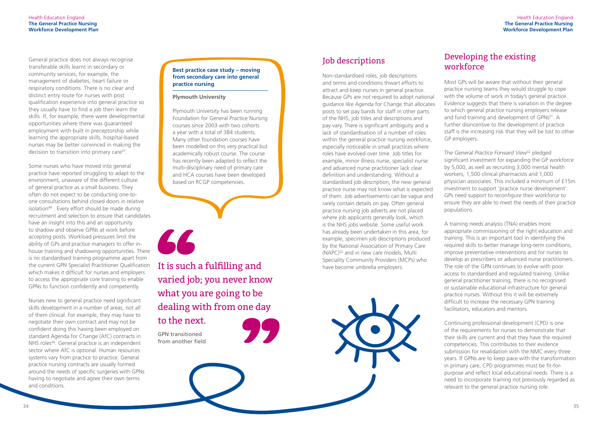

# Job descriptions

Non-standardised roles, job descriptions and terms and conditions thwart efforts to attract and keep nurses in general practice. Because GPs are not required to adopt national guidance like Agenda for Change that allocates posts to set pay bands for staff in other parts of the NHS, job titles and descriptions and pay vary. There is significant ambiguity and a lack of standardisation of a number of roles within the general practice nursing workforce, especially noticeable in small practices where roles have evolved over time. Job titles for example, minor illness nurse, specialist nurse and advanced nurse practitioner lack clear definition and understanding. Without a standardised job description, the new general practice nurse may not know what is expected of them. Job advertisements can be vague and rarely contain details on pay. Often general practice nursing job adverts are not placed where job applicants generally look, which is the NHS jobs website. Some useful work has already been undertaken in this area, for example, specimen job descriptions produced by the National Association of Primary Care (NAPC)50 and in new care models, Multi Speciality Community Providers (MCPs) who have become umbrella employers.

# Developing the existing workforce

Most GPs will be aware that without their general practice nursing teams they would struggle to cope with the volume of work in today's general practice. Evidence suggests that there is variation in the degree to which general practice nursing employers release and fund training and development of GPNs<sup>51</sup>. A further disincentive to the development of practice staff is the increasing risk that they will be lost to other GP employers.

General practice does not always recognise transferable skills learnt in secondary or community services, for example, the management of diabetes, heart failure or respiratory conditions. There is no clear and distinct entry route for nurses with post qualification experience into general practice so they usually have to find a job then learn the skills. If, for example, there were developmental opportunities where there was guaranteed employment with built in preceptorship while learning the appropriate skills, hospital-based nurses may be better convinced in making the decision to transition into primary care<sup>47</sup>.

The *General Practice Forward View*52 pledged significant investment for expanding the GP workforce by 5,000, as well as recruiting 3,000 mental health workers, 1,500 clinical pharmacists and 1,000 physician associates. This included a minimum of £15m investment to support 'practice nurse development'. GPs need support to reconfigure their workforce to ensure they are able to meet the needs of their practice populations.

A training needs analysis (TNA) enables more appropriate commissioning of the right education and training. This is an important tool in identifying the required skills to better manage long-term conditions, improve preventative interventions and for nurses to develop as prescribers or advanced nurse practitioners. The role of the GPN continues to evolve with poor access to standardised and regulated training. Unlike general practitioner training, there is no recognised or sustainable educational infrastructure for general practice nurses. Without this it will be extremely difficult to increase the necessary GPN training facilitators, educators and mentors.

Continuing professional development (CPD) is one of the requirements for nurses to demonstrate that their skills are current and that they have the required competencies. This contributes to their evidence submission for revalidation with the NMC every three years. If GPNs are to keep pace with the transformation in primary care, CPD programmes must be fit-forpurpose and reflect local educational needs. There is a need to incorporate training not previously regarded as relevant to the general practice nursing role.

Some nurses who have moved into general practice have reported struggling to adapt to the environment, unaware of the different culture of general practice as a small business. They often do not expect to be conducting one-toone consultations behind closed doors in relative isolation<sup>48</sup>. Every effort should be made during recruitment and selection to ensure that candidates have an insight into this and an opportunity to shadow and observe GPNs at work before accepting posts. Workload pressures limit the ability of GPs and practice managers to offer inhouse training and shadowing opportunities. There is no standardised training programme apart from the current GPN Specialist Practitioner Qualification which makes it difficult for nurses and employers to access the appropriate core training to enable GPNs to function confidently and competently.

Nurses new to general practice need significant skills development in a number of areas, not all of them clinical. For example, they may have to negotiate their own contract and may not be confident doing this having been employed on standard Agenda for Change (AfC) contracts in NHS roles<sup>49</sup>. General practice is an independent sector where AfC is optional. Human resources systems vary from practice to practice. General practice nursing contracts are usually formed around the needs of specific surgeries with GPNs having to negotiate and agree their own terms and conditions.

#### **Best practice case study – moving from secondary care into general practice nursing**

#### **Plymouth University**

Plymouth University has been running Foundation for General Practice Nursing courses since 2003 with two cohorts a year with a total of 384 students. Many other foundation courses have been modelled on this very practical but academically robust course. The course has recently been adapted to reflect the multi-disciplinary need of primary care and HCA courses have been developed based on RCGP competencies.



GPN transitioned from another field

It is such a fulfilling and varied job; you never know what you are going to be dealing with from one day

to the next.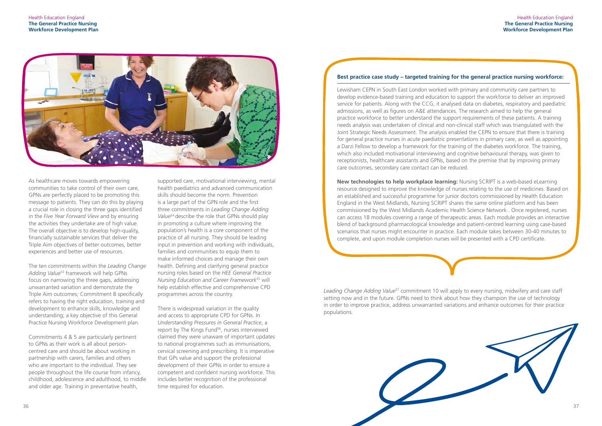





As healthcare moves towards empowering communities to take control of their own care, GPNs are perfectly placed to be promoting this message to patients. They can do this by playing a crucial role in closing the three gaps identified in the *Five Year Forward View* and by ensuring the activities they undertake are of high value. The overall objective is to develop high-quality, financially sustainable services that deliver the Triple Aim objectives of better outcomes, better experiences and better use of resources.

The ten commitments within the *Leading Change Adding Value*53 framework will help GPNs focus on narrowing the three gaps, addressing unwarranted variation and demonstrate the Triple Aim outcomes; Commitment 8 specifically refers to having the right education, training and development to enhance skills, knowledge and understanding; a key objective of this General Practice Nursing Workforce Development plan.

Commitments 4 & 5 are particularly pertinent to GPNs as their work is all about personcentred care and should be about working in partnership with carers, families and others who are important to the individual. They see people throughout the life course from infancy, childhood, adolescence and adulthood, to middle and older age. Training in preventative health,

#### **Best practice case study – targeted training for the general practice nursing workforce:**

Lewisham CEPN in South East London worked with primary and community care partners to develop evidence-based training and education to support the workforce to deliver an improved service for patients. Along with the CCG, it analysed data on diabetes, respiratory and paediatric admissions, as well as figures on A&E attendances. The research aimed to help the general practice workforce to better understand the support requirements of these patients. A training needs analysis was undertaken of clinical and non-clinical staff which was triangulated with the Joint Strategic Needs Assessment. The analysis enabled the CEPN to ensure that there is training for general practice nurses in acute paediatric presentations in primary care, as well as appointing a Darzi Fellow to develop a framework for the training of the diabetes workforce. The training, which also included motivational interviewing and cognitive behavioural therapy, was given to receptionists, healthcare assistants and GPNs, based on the premise that by improving primary care outcomes, secondary care contact can be reduced.

**New technologies to help workplace learning:** Nursing SCRIPT is a web-based eLearning resource designed to improve the knowledge of nurses relating to the use of medicines. Based on an established and successful programme for junior doctors commissioned by Health Education England in the West Midlands, Nursing SCRIPT shares the same online platform and has been commissioned by the West Midlands Academic Health Science Network.. Once registered, nurses can access 18 modules covering a range of therapeutic areas. Each module provides an interactive blend of background pharmacological knowledge and patient-centred learning using case-based scenarios that nurses might encounter in practice. Each module takes between 30-40 minutes to complete, and upon module completion nurses will be presented with a CPD certificate.

*Leading Change Adding Value*57 commitment 10 will apply to every nursing, midwifery and care staff setting now and in the future. GPNs need to think about how they champion the use of technology in order to improve practice, address unwarranted variations and enhance outcomes for their practice populations.

supported care, motivational interviewing, mental health paediatrics and advanced communication skills should become the norm. Prevention is a large part of the GPN role and the first three commitments in *Leading Change Adding Value*54 describe the role that GPNs should play in promoting a culture where improving the population's health is a core component of the practice of all nursing. They should be leading input in prevention and working with individuals, families and communities to equip them to make informed choices and manage their own health. Defining and clarifying general practice nursing roles based on the *HEE General Practice Nursing Education and Career Framework*55 will help establish effective and comprehensive CPD programmes across the country.

There is widespread variation in the quality and access to appropriate CPD for GPNs. In *Understanding Pressures in General Practice*, a report by The Kings Fund<sup>56</sup>, nurses interviewed claimed they were unaware of important updates to national programmes such as immunisations, cervical screening and prescribing. It is imperative that GPs value and support the professional development of their GPNs in order to ensure a competent and confident nursing workforce. This includes better recognition of the professional time required for education.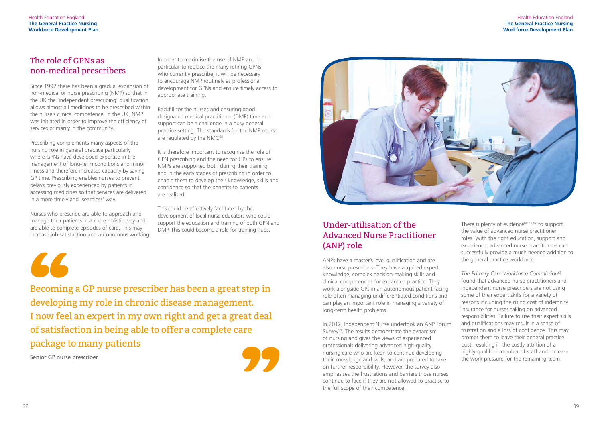# The role of GPNs as non-medical prescribers

Since 1992 there has been a gradual expansion of non-medical or nurse prescribing (NMP) so that in the UK the 'independent prescribing' qualification allows almost all medicines to be prescribed within the nurse's clinical competence. In the UK, NMP was initiated in order to improve the efficiency of services primarily in the community.

Backfill for the nurses and ensuring good designated medical practitioner (DMP) time and support can be a challenge in a busy general practice setting. The standards for the NMP course are regulated by the NMC<sup>58</sup>.

Prescribing complements many aspects of the nursing role in general practice particularly where GPNs have developed expertise in the management of long-term conditions and minor illness and therefore increases capacity by saving GP time. Prescribing enables nurses to prevent delays previously experienced by patients in accessing medicines so that services are delivered in a more timely and 'seamless' way.

Nurses who prescribe are able to approach and manage their patients in a more holistic way and are able to complete episodes of care. This may increase job satisfaction and autonomous working. In order to maximise the use of NMP and in particular to replace the many retiring GPNs who currently prescribe, it will be necessary to encourage NMP routinely as professional development for GPNs and ensure timely access to appropriate training.

It is therefore important to recognise the role of GPN prescribing and the need for GPs to ensure NMPs are supported both during their training and in the early stages of prescribing in order to enable them to develop their knowledge, skills and confidence so that the benefits to patients are realised.

> There is plenty of evidence<sup>60,61,62</sup> to support the value of advanced nurse practitioner roles. With the right education, support and experience, advanced nurse practitioners can successfully provide a much needed addition to the general practice workforce.

This could be effectively facilitated by the development of local nurse educators who could support the education and training of both GPN and DMP. This could become a role for training hubs.



Senior GP nurse prescriber



Becoming a GP nurse prescriber has been a great step in developing my role in chronic disease management. I now feel an expert in my own right and get a great deal of satisfaction in being able to offer a complete care package to many patients

# Under-utilisation of the Advanced Nurse Practitioner (ANP) role

ANPs have a master's level qualification and are also nurse prescribers. They have acquired expert knowledge, complex decision-making skills and clinical competencies for expanded practice. They work alongside GPs in an autonomous patient facing role often managing undifferentiated conditions and can play an important role in managing a variety of long-term health problems.

In 2012, Independent Nurse undertook an ANP Forum Survey<sup>59</sup>. The results demonstrate the dynamism of nursing and gives the views of experienced professionals delivering advanced high-quality nursing care who are keen to continue developing their knowledge and skills, and are prepared to take on further responsibility. However, the survey also emphasises the frustrations and barriers those nurses continue to face if they are not allowed to practise to the full scope of their competence.

*The Primary Care Workforce Commission*<sup>63</sup> found that advanced nurse practitioners and independent nurse prescribers are not using some of their expert skills for a variety of reasons including the rising cost of indemnity insurance for nurses taking on advanced responsibilities. Failure to use their expert skills and qualifications may result in a sense of frustration and a loss of confidence. This may prompt them to leave their general practice post, resulting in the costly attrition of a highly-qualified member of staff and increase the work pressure for the remaining team.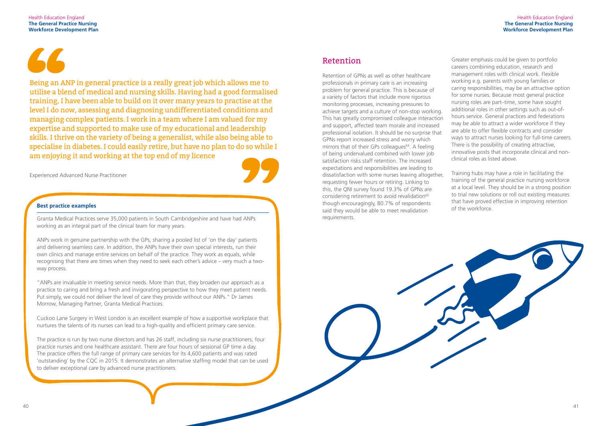#### **Best practice examples**

Granta Medical Practices serve 35,000 patients in South Cambridgeshire and have had ANPs working as an integral part of the clinical team for many years.

ANPs work in genuine partnership with the GPs, sharing a pooled list of 'on the day' patients and delivering seamless care. In addition, the ANPs have their own special interests, run their own clinics and manage entire services on behalf of the practice. They work as equals, while recognising that there are times when they need to seek each other's advice – very much a twoway process.

"ANPs are invaluable in meeting service needs. More than that, they broaden our approach as a practice to caring and bring a fresh and invigorating perspective to how they meet patient needs. Put simply, we could not deliver the level of care they provide without our ANPs." Dr James Morrow, Managing Partner, Granta Medical Practices.

Cuckoo Lane Surgery in West London is an excellent example of how a supportive workplace that nurtures the talents of its nurses can lead to a high-quality and efficient primary care service.

The practice is run by two nurse directors and has 26 staff, including six nurse practitioners, four practice nurses and one healthcare assistant. There are four hours of sessional GP time a day. The practice offers the full range of primary care services for its 4,600 patients and was rated 'outstanding' by the CQC in 2015. It demonstrates an alternative staffing model that can be used to deliver exceptional care by advanced nurse practitioners.

## Retention

Retention of GPNs as well as other healthcare professionals in primary care is an increasing problem for general practice. This is because of a variety of factors that include more rigorous monitoring processes, increasing pressures to achieve targets and a culture of non-stop working. This has greatly compromised colleague interaction and support, affected team morale and increased professional isolation. It should be no surprise that GPNs report increased stress and worry which mirrors that of their GPs colleagues $64$ . A feeling of being undervalued combined with lower job satisfaction risks staff retention. The increased expectations and responsibilities are leading to dissatisfaction with some nurses leaving altogether, requesting fewer hours or retiring. Linking to this, the QNI survey found 19.3% of GPNs are considering retirement to avoid revalidation<sup>65</sup> though encouragingly, 80.7% of respondents said they would be able to meet revalidation requirements.

Being an ANP in general practice is a really great job which allows me to utilise a blend of medical and nursing skills. Having had a good formalised training, I have been able to build on it over many years to practise at the level I do now, assessing and diagnosing undifferentiated conditions and managing complex patients. I work in a team where I am valued for my expertise and supported to make use of my educational and leadership skills. I thrive on the variety of being a generalist, while also being able to specialise in diabetes. I could easily retire, but have no plan to do so while I am enjoying it and working at the top end of my licence

Experienced Advanced Nurse Practitioner



Greater emphasis could be given to portfolio careers combining education, research and management roles with clinical work. Flexible working e.g. parents with young families or caring responsibilities, may be an attractive option for some nurses. Because most general practice nursing roles are part–time, some have sought additional roles in other settings such as out-ofhours service. General practices and federations may be able to attract a wider workforce if they are able to offer flexible contracts and consider ways to attract nurses looking for full-time careers. There is the possibility of creating attractive, innovative posts that incorporate clinical and nonclinical roles as listed above.

Training hubs may have a role in facilitating the training of the general practice nursing workforce at a local level. They should be in a strong position to trial new solutions or roll out existing measures that have proved effective in improving retention of the workforce.

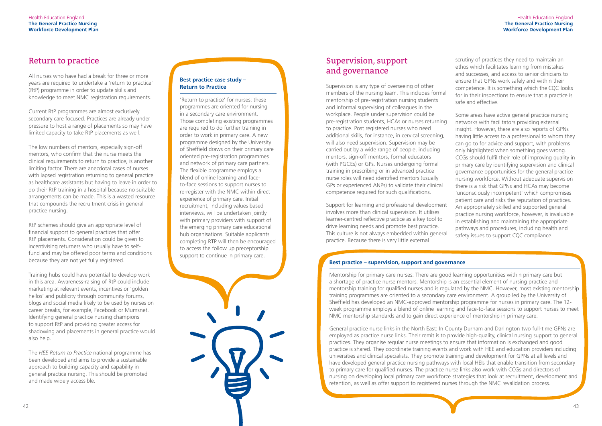#### **Best practice case study – Return to Practice**

'Return to practice' for nurses: these programmes are oriented for nursing in a secondary care environment. Those completing existing programmes are required to do further training in order to work in primary care. A new programme designed by the University of Sheffield draws on their primary care oriented pre-registration programmes and network of primary care partners. The flexible programme employs a blend of online learning and faceto-face sessions to support nurses to re-register with the NMC within direct experience of primary care. Initial recruitment, including values based interviews, will be undertaken jointly with primary providers with support of the emerging primary care educational hub organisations. Suitable applicants completing RTP will then be encouraged to access the follow up preceptorship support to continue in primary care.

# Supervision, support and governance

Some areas have active general practice nursing networks with facilitators providing external insight. However, there are also reports of GPNs having little access to a professional to whom they can go to for advice and support, with problems only highlighted when something goes wrong. CCGs should fulfil their role of improving quality in primary care by identifying supervision and clinical governance opportunities for the general practice nursing workforce. Without adequate supervision there is a risk that GPNs and HCAs may become 'unconsciously incompetent' which compromises patient care and risks the reputation of practices. An appropriately skilled and supported general practice nursing workforce, however, is invaluable in establishing and maintaining the appropriate pathways and procedures, including health and safety issues to support COC compliance.

Supervision is any type of overseeing of other members of the nursing team. This includes formal mentorship of pre-registration nursing students and informal supervising of colleagues in the workplace. People under supervision could be pre-registration students, HCAs or nurses returning to practice. Post registered nurses who need additional skills, for instance, in cervical screening, will also need supervision. Supervision may be carried out by a wide range of people, including mentors, sign-off mentors, formal educators (with PGCEs) or GPs. Nurses undergoing formal training in prescribing or in advanced practice nurse roles will need identified mentors (usually GPs or experienced ANPs) to validate their clinical competence required for such qualifications.

Support for learning and professional development involves more than clinical supervision. It utilises learner-centred reflective practice as a key tool to drive learning needs and promote best practice. This culture is not always embedded within general practice. Because there is very little external

scrutiny of practices they need to maintain an ethos which facilitates learning from mistakes and successes, and access to senior clinicians to ensure that GPNs work safely and within their competence. It is something which the CQC looks for in their inspections to ensure that a practice is safe and effective.

#### **Best practice – supervision, support and governance**

Mentorship for primary care nurses: There are good learning opportunities within primary care but a shortage of practice nurse mentors. Mentorship is an essential element of nursing practice and mentorship training for qualified nurses and is regulated by the NMC. However, most existing mentorship training programmes are oriented to a secondary care environment. A group led by the University of Sheffield has developed an NMC-approved mentorship programme for nurses in primary care. The 12 week programme employs a blend of online learning and face-to-face sessions to support nurses to meet NMC mentorship standards and to gain direct experience of mentorship in primary care.

General practice nurse links in the North East: In County Durham and Darlington two full-time GPNs are employed as practice nurse links. Their remit is to provide high-quality, clinical nursing support to general practices. They organise regular nurse meetings to ensure that information is exchanged and good practice is shared. They coordinate training events and work with HEE and education providers including universities and clinical specialists. They promote training and development for GPNs at all levels and have developed general practice nursing pathways with local HEIs that enable transition from secondary to primary care for qualified nurses. The practice nurse links also work with CCGs and directors of nursing on developing local primary care workforce strategies that look at recruitment, development and retention, as well as offer support to registered nurses through the NMC revalidation process.

# Return to practice

All nurses who have had a break for three or more years are required to undertake a 'return to practice' (RtP) programme in order to update skills and knowledge to meet NMC registration requirements.

Current RtP programmes are almost exclusively secondary care focused. Practices are already under pressure to host a range of placements so may have limited capacity to take RtP placements as well.

The low numbers of mentors, especially sign-off mentors, who confirm that the nurse meets the clinical requirements to return to practice, is another limiting factor. There are anecdotal cases of nurses with lapsed registration returning to general practice as healthcare assistants but having to leave in order to do their RtP training in a hospital because no suitable arrangements can be made. This is a wasted resource that compounds the recruitment crisis in general practice nursing.

RtP schemes should give an appropriate level of financial support to general practices that offer RtP placements. Consideration could be given to incentivising returners who usually have to selffund and may be offered poor terms and conditions because they are not yet fully registered.

Training hubs could have potential to develop work in this area. Awareness-raising of RtP could include marketing at relevant events, incentives or 'golden hellos' and publicity through community forums, blogs and social media likely to be used by nurses on career breaks, for example, Facebook or Mumsnet. Identifying general practice nursing champions to support RtP and providing greater access for shadowing and placements in general practice would also help.

The *HEE Return to Practice* national programme has been developed and aims to provide a sustainable approach to building capacity and capability in general practice nursing. This should be promoted and made widely accessible.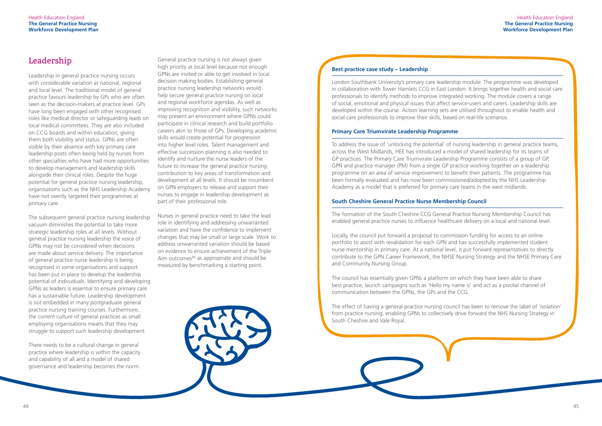# Leadership

Leadership in general practice nursing occurs with considerable variation at national, regional and local level. The traditional model of general practice favours leadership by GPs who are often seen as the decision-makers at practice level. GPs have long been engaged with other recognised roles like medical director or safeguarding leads on local medical committees. They are also included on CCG boards and within education, giving them both visibility and status. GPNs are often visible by their absence with key primary care leadership posts often being held by nurses from other specialties who have had more opportunities to develop management and leadership skills alongside their clinical roles. Despite the huge potential for general practice nursing leadership, organisations such as the NHS Leadership Academy have not overtly targeted their programmes at primary care.

The subsequent general practice nursing leadership vacuum diminishes the potential to take more strategic leadership roles at all levels. Without general practice nursing leadership the voice of GPNs may not be considered when decisions are made about service delivery. The importance of general practice nurse leadership is being recognised in some organisations and support has been put in place to develop the leadership potential of indivuduals. Identifying and developing GPNs as leaders is essential to ensure primary care has a sustainable future. Leadership development is not embedded in many postgraduate general practice nursing training courses. Furthermore, the current culture of general practices as small employing organisations means that they may struggle to support such leadership development.

There needs to be a cultural change in general practice where leadership is within the capacity and capability of all and a model of shared governance and leadership becomes the norm.

General practice nursing is not always given high priority at local level because not enough GPNs are invited or able to get involved in local decision making bodies. Establishing general practice nursing leadership networks would help secure general practice nursing on local and regional workforce agendas. As well as improving recognition and visibility, such networks may present an environment where GPNs could participate in clinical research and build portfolio careers akin to those of GPs. Developing academic skills would create potential for progression into higher level roles. Talent management and effective succession planning is also needed to identify and nurture the nurse leaders of the future to increase the general practice nursing contribution to key areas of transformation and development at all levels. It should be incumbent on GPN employers to release and support their nurses to engage in leadership development as part of their professional role.

Nurses in general practice need to take the lead role in identifying and addressing unwarranted variation and have the confidence to implement changes that may be small or large scale. Work to address unwarranted variation should be based on evidence to ensure achievement of the Triple Aim outcomes $66$  as appropriate and should be measured by benchmarking a starting point.

#### **Best practice case study – Leadership**

London Southbank University's primary care leadership module: The programme was developed in collaboration with Tower Hamlets CCG in East London. It brings together health and social care professionals to identify methods to improve integrated working. The module covers a range of social, emotional and physical issues that affect service-users and carers. Leadership skills are developed within the course. Action learning sets are utilised throughout to enable health and social care professionals to improve their skills, based on real-life scenarios.

#### **Primary Care Triumvirate Leadership Programme**

To address the issue of 'unlocking the potential' of nursing leadership in general practice teams, across the West Midlands, HEE has introduced a model of shared leadership for its teams of GP practices. The Primary Care Triumvirate Leadership Programme consists of a group of GP, GPN and practice manager (PM) from a single GP practice working together on a leadership programme on an area of service improvement to benefit their patients. The programme has been formally evaluated and has now been commissioned/adopted by the NHS Leadership Academy as a model that is preferred for primary care teams in the west midlands.

#### **South Cheshire General Practice Nurse Membership Council**

The formation of the South Cheshire CCG General Practice Nursing Membership Council has enabled general practice nurses to influence healthcare delivery on a local and national level.

Locally, the council put forward a proposal to commission funding for access to an online portfolio to assist with revalidation for each GPN and has successfully implemented student nurse mentorship in primary care. At a national level, it put forward representatives to directly contribute to the GPN Career Framework, the NHSE Nursing Strategy and the NHSE Primary Care and Community Nursing Group.

The council has essentially given GPNs a platform on which they have been able to share best practice, launch campaigns such as 'Hello my name is' and act as a pivotal channel of communication between the GPNs, the GPs and the CCG.

The effect of having a general practice nursing council has been to remove the label of 'isolation' from practice nursing, enabling GPNs to collectively drive forward the NHS Nursing Strategy in South Cheshire and Vale Royal.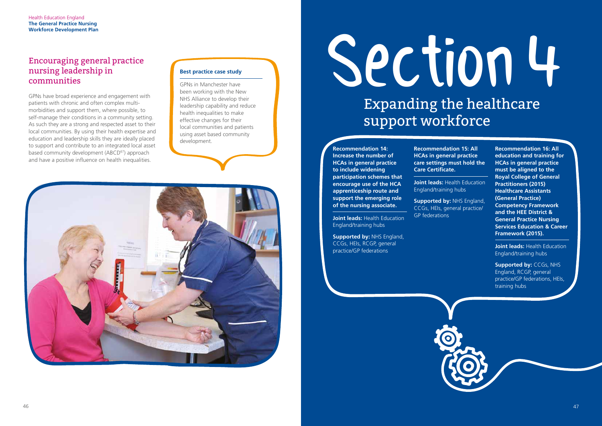# Section4 Expanding the healthcare support workforce

**Joint leads: Health Education** England/training hubs

#### **Recommendation 14: Increase the number of HCAs in general practice to include widening participation schemes that encourage use of the HCA apprenticeship route and support the emerging role of the nursing associate.**

**Supported by:** NHS England, CCGs, HEIs, RCGP, general practice/GP federations



**Joint leads: Health Education** England/training hubs

**Recommendation 15: All HCAs in general practice care settings must hold the Care Certificate.**

**Joint leads:** Health Education England/training hubs

**Supported by:** NHS England, CCGs, HEIs, general practice/ GP federations

**Recommendation 16: All education and training for HCAs in general practice must be aligned to the Royal College of General Practitioners (2015) Healthcare Assistants (General Practice) Competency Framework and the HEE District & General Practice Nursing Services Education & Career Framework (2015).**

**Supported by:** CCGs, NHS England, RCGP, general practice/GP federations, HEIs, training hubs

## Encouraging general practice nursing leadership in communities

GPNs have broad experience and engagement with patients with chronic and often complex multimorbidities and support them, where possible, to self-manage their conditions in a community setting. As such they are a strong and respected asset to their local communities. By using their health expertise and education and leadership skills they are ideally placed to support and contribute to an integrated local asset based community development (ABCD<sup>67</sup>) approach and have a positive influence on health inequalities.

#### **Best practice case study**

GPNs in Manchester have been working with the New NHS Alliance to develop their leadership capability and reduce health inequalities to make effective changes for their local communities and patients using asset based community development.

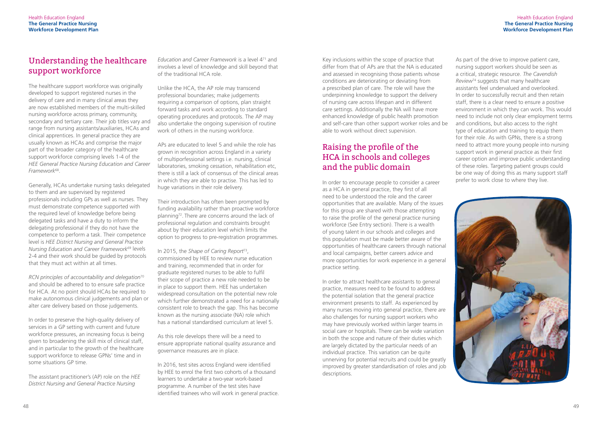# Understanding the healthcare support workforce

The healthcare support workforce was originally developed to support registered nurses in the delivery of care and in many clinical areas they are now established members of the multi-skilled nursing workforce across primary, community, secondary and tertiary care. Their job titles vary and range from nursing assistants/auxiliaries, HCAs and clinical apprentices. In general practice they are usually known as HCAs and comprise the major part of the broader category of the healthcare support workforce comprising levels 1-4 of the *HEE General Practice Nursing Education and Career Framework*68.

Generally, HCAs undertake nursing tasks delegated to them and are supervised by registered professionals including GPs as well as nurses. They must demonstrate competence supported with the required level of knowledge before being delegated tasks and have a duty to inform the delegating professional if they do not have the competence to perform a task. Their competence level is *HEE District Nursing and General Practice Nursing Education and Career Framework*69 levels 2-4 and their work should be guided by protocols that they must act within at all times.

*RCN principles of accountability and delegation*<sup>70</sup> and should be adhered to to ensure safe practice for HCA. At no point should HCAs be required to make autonomous clinical judgements and plan or alter care delivery based on those judgements.

In order to preserve the high-quality delivery of services in a GP setting with current and future workforce pressures, an increasing focus is being given to broadening the skill mix of clinical staff, and in particular to the growth of the healthcare support workforce to release GPNs' time and in some situations GP time.

The assistant practitioner's (AP) role on the *HEE District Nursing and General Practice Nursing* 

*Education and Career Framework* is a level 471 and involves a level of knowledge and skill beyond that of the traditional HCA role.

Unlike the HCA, the AP role may transcend professional boundaries; make judgements requiring a comparison of options, plan straight forward tasks and work according to standard operating procedures and protocols. The AP may also undertake the ongoing supervision of routine work of others in the nursing workforce.

APs are educated to level 5 and while the role has grown in recognition across England in a variety of multiporfessional settings i.e. nursing, clinical laboratories, smoking cessation, rehabilitation etc, there is still a lack of consensus of the clinical areas in which they are able to practise. This has led to huge variations in their role delivery.

Their introduction has often been prompted by funding availability rather than proactive workforce planning72. There are concerns around the lack of professional regulation and constraints brought about by their education level which limits the option to progress to pre-registration programmes.

In 2015, the *Shape of Caring Report*73, commissioned by HEE to review nurse education and training, recommended that in order for graduate registered nurses to be able to fulfil their scope of practice a new role needed to be in place to support them. HEE has undertaken widespread consultation on the potential new role which further demonstrated a need for a nationally consistent role to breach the gap. This has become known as the nursing associate (NA) role which has a national standardised curriculum at level 5.

As this role develops there will be a need to ensure appropriate national quality assurance and governance measures are in place.

In 2016, test sites across England were identified by HEE to enrol the first two cohorts of a thousand learners to undertake a two-year work-based programme. A number of the test sites have identified trainees who will work in general practice.

Key inclusions within the scope of practice that differ from that of APs are that the NA is educated and assessed in recognising those patients whose conditions are deteriorating or deviating from a prescribed plan of care. The role will have the underpinning knowledge to support the delivery of nursing care across lifespan and in different care settings. Additionally the NA will have more enhanced knowledge of public health promotion and self-care than other support worker roles and be able to work without direct supervision.

# Raising the profile of the HCA in schools and colleges and the public domain

In order to encourage people to consider a career as a HCA in general practice, they first of all need to be understood the role and the career opportunities that are available. Many of the issues for this group are shared with those attempting to raise the profile of the general practice nursing workforce (See Entry section). There is a wealth of young talent in our schools and colleges and this population must be made better aware of the opportunities of healthcare careers through national and local campaigns, better careers advice and more opportunities for work experience in a general practice setting.

In order to attract healthcare assistants to general practice, measures need to be found to address the potential isolation that the general practice environment presents to staff. As experienced by many nurses moving into general practice, there are also challenges for nursing support workers who may have previously worked within larger teams in social care or hospitals. There can be wide variation in both the scope and nature of their duties which are largely dictated by the particular needs of an individual practice. This variation can be quite unnerving for potential recruits and could be greatly improved by greater standardisation of roles and job descriptions.

As part of the drive to improve patient care, nursing support workers should be seen as a critical, strategic resource. *The Cavendish Review*74 suggests that many healthcare assistants feel undervalued and overlooked. In order to successfully recruit and then retain staff, there is a clear need to ensure a positive environment in which they can work. This would need to include not only clear employment terms and conditions, but also access to the right type of education and training to equip them for their role. As with GPNs, there is a strong need to attract more young people into nursing support work in general practice as their first career option and improve public understanding of these roles. Targeting patient groups could be one way of doing this as many support staff prefer to work close to where they live.

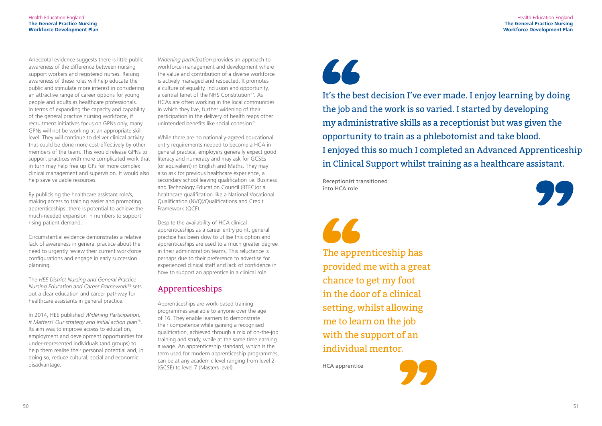#### Health Education England **The General Practice Nursing Workforce Development Plan**



Anecdotal evidence suggests there is little public awareness of the difference between nursing support workers and registered nurses. Raising awareness of these roles will help educate the public and stimulate more interest in considering an attractive range of career options for young people and adults as healthcare professionals. In terms of expanding the capacity and capability of the general practice nursing workforce, if recruitment initiatives focus on GPNs only, many GPNs will not be working at an appropriate skill level. They will continue to deliver clinical activity that could be done more cost-effectively by other members of the team. This would release GPNs to support practices with more complicated work that in turn may help free up GPs for more complex clinical management and supervision. It would also help save valuable resources.

*Widening participation* provides an approach to workforce management and development where the value and contribution of a diverse workforce is actively managed and respected. It promotes a culture of equality, inclusion and opportunity, a central tenet of the NHS Constitution<sup>77</sup>. As HCAs are often working in the local communities in which they live, further widening of their participation in the delivery of health reaps other unintended benefits like social cohesion<sup>78</sup>.

By publicising the healthcare assistant role/s, making access to training easier and promoting apprenticeships, there is potential to achieve the much-needed expansion in numbers to support rising patient demand.

Circumstantial evidence demonstrates a relative lack of awareness in general practice about the need to urgently review their current workforce configurations and engage in early succession planning.

The *HEE District Nursing and General Practice Nursing Education and Career Framework*75 sets out a clear education and career pathway for healthcare assistants in general practice.

Apprenticeships are work-based training programmes available to anyone over the age of 16. They enable learners to demonstrate their competence while gaining a recognised qualification, achieved through a mix of on-the-job training and study, while at the same time earning a wage. An apprenticeship standard, which is the term used for modern apprenticeship programmes, can be at any academic level ranging from level 2 (GCSE) to level 7 (Masters level).

# 66

In 2014, HEE published *Widening Participation, it Matters! Our strategy and initial action plan*76. Its aim was to improve access to education, employment and development opportunities for under-represented individuals (and groups) to help them realise their personal potential and, in doing so, reduce cultural, social and economic disadvantage.

While there are no nationally-agreed educational entry requirements needed to become a HCA in general practice, employers generally expect good literacy and numeracy and may ask for GCSEs (or equivalent) in English and Maths. They may also ask for previous healthcare experience, a secondary school leaving qualification i.e. Business and Technology Education Council (BTEC)or a healthcare qualification like a National Vocational Qualification (NVQ)/Qualifications and Credit Framework (QCF).

Despite the availability of HCA clinical apprenticeships as a career entry point, general practice has been slow to utilise this option and apprenticeships are used to a much greater degree in their administration teams. This reluctance is perhaps due to their preference to advertise for experienced clinical staff and lack of confidence in how to support an apprentice in a clinical role.

# Apprenticeships

The apprenticeship has provided me with a great chance to get my foot in the door of a clinical setting, whilst allowing me to learn on the job with the support of an individual mentor.



Receptionist transitioned into HCA role

It's the best decision I've ever made. I enjoy learning by doing the job and the work is so varied. I started by developing my administrative skills as a receptionist but was given the opportunity to train as a phlebotomist and take blood. I enjoyed this so much I completed an Advanced Apprenticeship in Clinical Support whilst training as a healthcare assistant.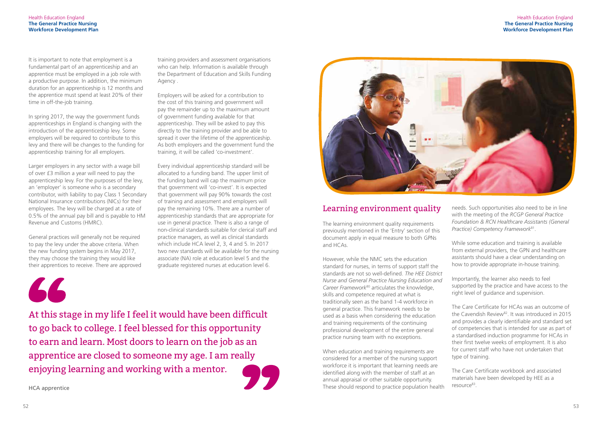#### Health Education England **The General Practice Nursing Workforce Development Plan**

It is important to note that employment is a fundamental part of an apprenticeship and an apprentice must be employed in a job role with a productive purpose. In addition, the minimum duration for an apprenticeship is 12 months and the apprentice must spend at least 20% of their time in off-the-job training.

In spring 2017, the way the government funds apprenticeships in England is changing with the introduction of the apprenticeship levy. Some employers will be required to contribute to this levy and there will be changes to the funding for apprenticeship training for all employers.

Larger employers in any sector with a wage bill of over £3 million a year will need to pay the apprenticeship levy. For the purposes of the levy, an 'employer' is someone who is a secondary contributor, with liability to pay Class 1 Secondary National Insurance contributions (NICs) for their employees. The levy will be charged at a rate of 0.5% of the annual pay bill and is payable to HM Revenue and Customs (HMRC).

General practices will generally not be required to pay the levy under the above criteria. When the new funding system begins in May 2017, they may choose the training they would like their apprentices to receive. There are approved

66

# Learning environment quality

The learning environment quality requirements previously mentioned in the 'Entry' section of this document apply in equal measure to both GPNs and HCAs.

However, while the NMC sets the education standard for nurses, in terms of support staff the standards are not so well-defined. *The HEE District Nurse and General Practice Nursing Education and Career Framework*80 articulates the knowledge, skills and competence required at what is traditionally seen as the band 1-4 workforce in general practice. This framework needs to be used as a basis when considering the education and training requirements of the continuing professional development of the entire general practice nursing team with no exceptions.

When education and training requirements are considered for a member of the nursing support workforce it is important that learning needs are identified along with the member of staff at an annual appraisal or other suitable opportunity. These should respond to practice population health

The Care Certificate workbook and associated materials have been developed by HEE as a resource<sup>83</sup>.

training providers and assessment organisations who can help. Information is available through the Department of Education and Skills Funding Agency .

Employers will be asked for a contribution to the cost of this training and government will pay the remainder up to the maximum amount of government funding available for that apprenticeship. They will be asked to pay this directly to the training provider and be able to spread it over the lifetime of the apprenticeship. As both employers and the government fund the training, it will be called 'co-investment'.

Every individual apprenticeship standard will be allocated to a funding band. The upper limit of the funding band will cap the maximum price that government will 'co-invest'. It is expected that government will pay 90% towards the cost of training and assessment and employers will pay the remaining 10%. There are a number of apprenticeship standards that are appropriate for use in general practice. There is also a range of non-clinical standards suitable for clerical staff and practice managers, as well as clinical standards which include HCA level 2, 3, 4 and 5. In 2017 two new standards will be available for the nursing associate (NA) role at education level 5 and the graduate registered nurses at education level 6.



HCA apprentice

At this stage in my life I feel it would have been difficult to go back to college. I feel blessed for this opportunity to earn and learn. Most doors to learn on the job as an apprentice are closed to someone my age. I am really enjoying learning and working with a mentor.



needs. Such opportunities also need to be in line with the meeting of the *RCGP General Practice Foundation & RCN Healthcare Assistants (General Practice) Competency Framework*81.

While some education and training is available from external providers, the GPN and healthcare assistants should have a clear understanding on how to provide appropriate in-house training.

Importantly, the learner also needs to feel supported by the practice and have access to the right level of guidance and supervision.

The Care Certificate for HCAs was an outcome of the Cavendish Review<sup>82</sup>. It was introduced in 2015 and provides a clearly identifiable and standard set of competencies that is intended for use as part of a standardised induction programme for HCAs in their first twelve weeks of employment. It is also for current staff who have not undertaken that type of training.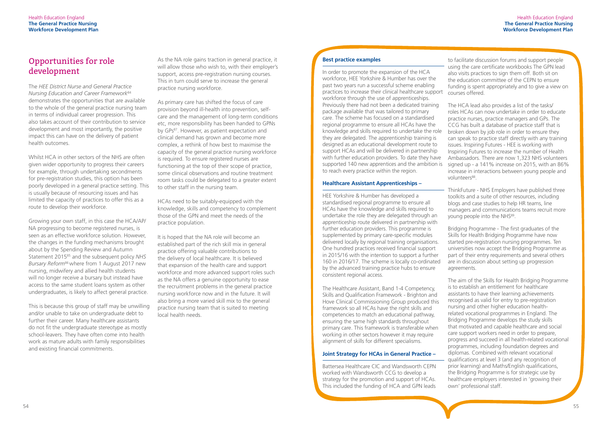As the NA role gains traction in general practice, it will allow those who wish to, with their employer's support, access pre-registration nursing courses. This in turn could serve to increase the general practice nursing workforce.

As primary care has shifted the focus of care provision beyond ill-health into prevention, selfcare and the management of long-term conditions etc, more responsibility has been handed to GPNs by GPs<sup>87</sup>. However, as patient expectation and clinical demand has grown and become more complex, a rethink of how best to maximise the capacity of the general practice nursing workforce is required. To ensure registered nurses are functioning at the top of their scope of practice, some clinical observations and routine treatment room tasks could be delegated to a greater extent to other staff in the nursing team.

HCAs need to be suitably-equipped with the knowledge, skills and competency to complement those of the GPN and meet the needs of the practice population.

It is hoped that the NA role will become an established part of the rich skill mix in general practice offering valuable contributions to the delivery of local healthcare. It is believed that expansion of the health care and support workforce and more advanced support roles such as the NA offers a genuine opportunity to ease the recruitment problems in the general practice nursing workforce now and in the future. It will also bring a more varied skill mix to the general practice nursing team that is suited to meeting local health needs.

#### **Best practice examples**

In order to promote the expansion of the HCA workforce, HEE Yorkshire & Humber has over the past two years run a successful scheme enabling practices to increase their clinical healthcare support workforce through the use of apprenticeships. Previously there had not been a dedicated training package available that was tailored to primary care. The scheme has focused on a standardised regional programme to ensure all HCAs have the knowledge and skills required to undertake the role they are delegated. The apprenticeship training is designed as an educational development route to support HCAs and will be delivered in partnership with further education providers. To date they have supported 140 new apprentices and the ambition is to reach every practice within the region.

#### **Healthcare Assistant Apprenticeships –**

HEE Yorkshire & Humber has developed a standardised regional programme to ensure all HCAs have the knowledge and skills required to undertake the role they are delegated through an apprenticeship route delivered in partnership with further education providers. This programme is supplemented by primary care-specific modules delivered locally by regional training organisations. One hundred practices received financial support in 2015/16 with the intention to support a further 160 in 2016/17. The scheme is locally co-ordinated by the advanced training practice hubs to ensure consistent regional access.

The HCA lead also provides a list of the tasks/ roles HCAs can now undertake in order to educate practice nurses, practice managers and GPs. The CCG has built a database of practice staff that is broken down by job role in order to ensure they can speak to practice staff directly with any training issues. Inspiring Futures - HEE is working with Inspiring Futures to increase the number of Health Ambassadors. There are now 1,323 NHS volunteers signed up - a 141% increase on 2015, with an 86% increase in interactions between young people and volunteers<sup>88</sup>.

ThinkFuture - NHS Employers have published three toolkits and a suite of other resources, including blogs and case studies to help HR teams, line managers and communications teams recruit more young people into the NHS<sup>89</sup>.

The Healthcare Assistant, Band 1-4 Competency, Skills and Qualification Framework - Brighton and Hove Clinical Commissioning Group produced this framework so all HCAs have the right skills and competencies to match an educational pathway, ensuring the same high standards throughout primary care. This framework is transferable when working in other sectors however it may require alignment of skills for different specialisms.

#### **Joint Strategy for HCAs in General Practice –**

Battersea Healthcare CIC and Wandsworth CEPN worked with Wandsworth CCG to develop a strategy for the promotion and support of HCAs. This included the funding of HCA and GPN leads

# Opportunities for role development

The *HEE District Nurse and General Practice Nursing Education and Career Framework*<sup>84</sup> demonstrates the opportunities that are available to the whole of the general practice nursing team in terms of individual career progression. This also takes account of their contribution to service development and most importantly, the positive impact this can have on the delivery of patient health outcomes.

Whilst HCA in other sectors of the NHS are often given wider opportunity to progress their careers for example, through undertaking secondments for pre-registration studies, this option has been poorly developed in a general practice setting. This is usually because of resourcing issues and has limited the capacity of practices to offer this as a route to develop their workforce.

Growing your own staff, in this case the HCA/AP/ NA progressing to become registered nurses, is seen as an effective workforce solution. However, the changes in the funding mechanisms brought about by the Spending Review and Autumn Statement 201585 and the subsequent policy *NHS Bursary Reform*86 where from 1 August 2017 new nursing, midwifery and allied health students will no longer receive a bursary but instead have access to the same student loans system as other undergraduates, is likely to affect general practice.

This is because this group of staff may be unwilling and/or unable to take on undergraduate debt to further their career. Many healthcare assistants do not fit the undergraduate stereotype as mostly school-leavers. They have often come into health work as mature adults with family responsibilities and existing financial commitments.

to facilitate discussion forums and support people using the care certificate workbooks The GPN lead also visits practices to sign them off. Both sit on the education committee of the CEPN to ensure funding is spent appropriately and to give a view on courses offered.

Bridging Programme - The first graduates of the Skills for Health Bridging Programme have now started pre-registration nursing programmes. Ten universities now accept the Bridging Programme as part of their entry requirements and several others are in discussion about setting up progression agreements.

The aim of the Skills for Health Bridging Programme is to establish an entitlement for healthcare assistants to have their learning achievements recognised as valid for entry to pre-registration nursing and other higher education healthrelated vocational programmes in England. The Bridging Programme develops the study skills that motivated and capable healthcare and social care support workers need in order to prepare, progress and succeed in all health-related vocational programmes, including foundation degrees and diplomas. Combined with relevant vocational qualifications at level 3 (and any recognition of prior learning) and Maths/English qualifications, the Bridging Programme is for strategic use by healthcare employers interested in 'growing their own' professional staff.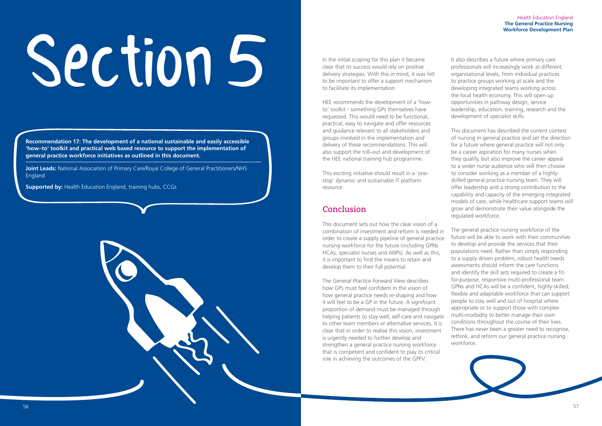

# In the initial scoping for this plan it became<br>clear that its success would rely on positive<br>delivery strategies. With this in mind, it was<br>to be important to offer a support mechanis

**Recommendation 17: The development of a national sustainable and easily accessible 'how–to' toolkit and practical web based resource to support the implementation of general practice workforce initiatives as outlined in this document.**

**Joint Leads:** National Association of Primary Care/Royal College of General Practitioners/NHS England

**Supported by:** Health Education England, training hubs, CCGs

clear that its success would rely on positive delivery strategies. With this in mind, it was felt to be important to offer a support mechanism to facilitate its implementation.

HEE recommends the development of a 'howto' toolkit - something GPs themselves have requested. This would need to be functional, practical, easy to navigate and offer resources and guidance relevant to all stakeholders and groups involved in the implementation and delivery of these recommendations. This will also support the roll–out and development of the HEE national training hub programme.

This exciting initiative should result in a 'onestop' dynamic and sustainable IT platform resource.

# Conclusion

This document sets out how the clear vision of a combination of investment and reform is needed in order to create a supply pipeline of general practice nursing workforce for the future (including GPNs HCAs, specialist nurses and ANPs). As well as this, it is important to find the means to retain and develop them to their full potential.

The *General Practice Forward View* describes how GPs must feel confident in the vision of how general practice needs re-shaping and how it will feel to be a GP in the future. A significant proportion of demand must be managed through helping patients to stay well, self-care and navigate to other team members or alternative services. It is clear that in order to realise this vision, investment is urgently needed to further develop and strengthen a general practice nursing workforce that is competent and confident to play its critical role in achieving the outcomes of the GPFV.

It also describes a future where primary care professionals will increasingly work at different organisational levels, from individual practices to practice groups working at scale and the developing integrated teams working across the local health economy. This will open up opportunities in pathway design, service leadership, education, training, research and the development of specialist skills.

This document has described the current context of nursing in general practice and set the direction for a future where general practice will not only be a career aspiration for many nurses when they qualify, but also improve the career appeal to a wider nurse audience who will then choose to consider working as a member of a highlyskilled general practice nursing team. They will offer leadership and a strong contribution to the capability and capacity of the emerging integrated models of care, while healthcare support teams will grow and demonstrate their value alongside the regulated workforce.

The general practice nursing workforce of the future will be able to work with their communities to develop and provide the services that their populations need. Rather than simply responding to a supply driven problem, robust health needs assessments should inform the care functions and identify the skill sets required to create a fitfor-purpose, responsive multi-professional team. GPNs and HCAs will be a confident, highly-skilled, flexible and adaptable workforce that can support people to stay well and out of hospital where appropriate or to support those with complex multi-morbidity to better manage their own conditions throughout the course of their lives. There has never been a greater need to recognise, rethink, and reform our general practice nursing workforce.

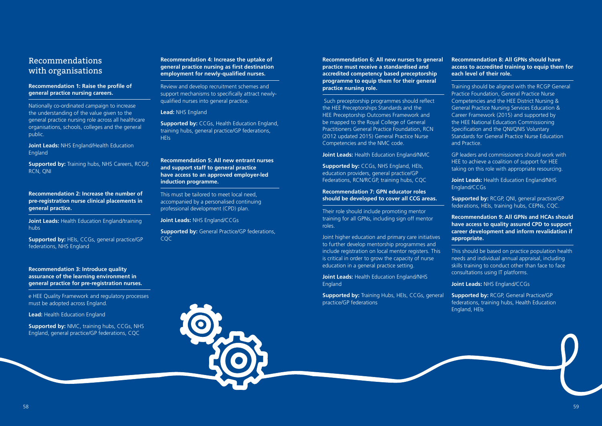## Recommendations with organisations

#### **Recommendation 1: Raise the profile of general practice nursing careers.**

**Supported by:** Training hubs, NHS Careers, RCGP, RCN, QNI

Nationally co-ordinated campaign to increase the understanding of the value given to the general practice nursing role across all healthcare organisations, schools, colleges and the general public.

**Joint Leads:** NHS England/Health Education England

#### **Recommendation 2: Increase the number of pre-registration nurse clinical placements in general practice.**

**Supported by: NMC, training hubs, CCGs, NHS** England, general practice/GP federations, CQC

**Joint Leads:** Health Education England/training hubs

**Supported by:** HEIs, CCGs, general practice/GP federations, NHS England

**Supported by:** CCGs, Health Education England, training hubs, general practice/GP federations, **HEIs** 

#### **Recommendation 3: Introduce quality assurance of the learning environment in general practice for pre-registration nurses.**

e HEE Quality Framework and regulatory processes must be adopted across England.

**Lead:** Health Education England

#### **Recommendation 4: Increase the uptake of general practice nursing as first destination employment for newly-qualified nurses.**

Review and develop recruitment schemes and support mechanisms to specifically attract newlyqualified nurses into general practice.

#### **Lead:** NHS England

#### **Recommendation 5: All new entrant nurses and support staff to general practice have access to an approved employer-led induction programme.**

**Supported by: Training Hubs, HEIs, CCGs, general** practice/GP federations

This must be tailored to meet local need, accompanied by a personalised continuing professional development (CPD) plan.

#### **Joint Leads:** NHS England/CCGs

**Supported by:** General Practice/GP federations, CQC

#### **Recommendation 6: All new nurses to general practice must receive a standardised and accredited competency based preceptorship programme to equip them for their general practice nursing role.**

 Such preceptorship programmes should reflect the HEE Preceptorships Standards and the HEE Preceptorship Outcomes Framework and be mapped to the Royal College of General Practitioners General Practice Foundation, RCN (2012 updated 2015) General Practice Nurse Competencies and the NMC code.

**Joint Leads:** Health Education England/NMC

**Supported by:** CCGs, NHS England, HEIs, education providers, general practice/GP Federations, RCN/RCGP, training hubs, CQC

#### **Recommendation 7: GPN educator roles should be developed to cover all CCG areas.**

Their role should include promoting mentor training for all GPNs, including sign off mentor roles.

Joint higher education and primary care initiatives to further develop mentorship programmes and include registration on local mentor registers. This is critical in order to grow the capacity of nurse education in a general practice setting.

**Joint Leads:** Health Education England/NHS England

#### **Recommendation 8: All GPNs should have access to accredited training to equip them for each level of their role.**

Training should be aligned with the RCGP General Practice Foundation, General Practice Nurse Competencies and the HEE District Nursing & General Practice Nursing Services Education & Career Framework (2015) and supported by the HEE National Education Commissioning Specification and the QNI/QNIS Voluntary Standards for General Practice Nurse Education and Practice.

GP leaders and commissioners should work with HEE to achieve a coalition of support for HEE taking on this role with appropriate resourcing.

**Joint Leads:** Health Education England/NHS England/CCGs

**Supported by:** RCGP, QNI, general practice/GP federations, HEIs, training hubs, CEPNs, CQC.

**Recommendation 9: All GPNs and HCAs should have access to quality assured CPD to support career development and inform revalidation if appropriate.** 

This should be based on practice population health needs and individual annual appraisal, including skills training to conduct other than face to face consultations using IT platforms.

**Joint Leads:** NHS England/CCGs

**Supported by:** RCGP, General Practice/GP federations, training hubs, Health Education England, HEIs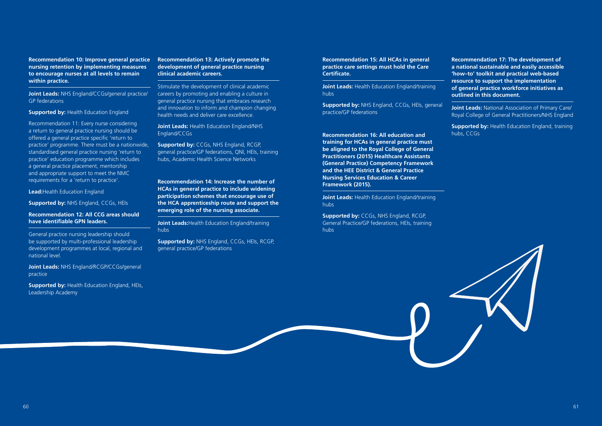**Recommendation 10: Improve general practice nursing retention by implementing measures to encourage nurses at all levels to remain within practice.**

**Joint Leads:** NHS England/CCGs/general practice/ GP federations

**Supported by: Health Education England** 

Recommendation 11: Every nurse considering a return to general practice nursing should be offered a general practice specific 'return to practice' programme. There must be a nationwide, standardised general practice nursing 'return to practice' education programme which includes a general practice placement, mentorship and appropriate support to meet the NMC requirements for a 'return to practice'.

**Lead:**Health Education England

**Supported by:** NHS England, CCGs, HEIs

#### **Recommendation 12: All CCG areas should have identifiable GPN leaders.**

General practice nursing leadership should be supported by multi-professional leadership development programmes at local, regional and national level.

**Joint Leads:** NHS England/RCGP/CCGs/general practice

**Supported by:** Health Education England, HEIs, Leadership Academy

#### **Recommendation 13: Actively promote the development of general practice nursing clinical academic careers.**

Stimulate the development of clinical academic careers by promoting and enabling a culture in general practice nursing that embraces research and innovation to inform and champion changing health needs and deliver care excellence.

**Joint Leads:** Health Education England/NHS England/CCGs

**Supported by:** CCGs, NHS England, RCGP, general practice/GP federations, QNI, HEIs, training hubs, Academic Health Science Networks

**Recommendation 14: Increase the number of HCAs in general practice to include widening participation schemes that encourage use of the HCA apprenticeship route and support the emerging role of the nursing associate.**

**Joint Leads:**Health Education England/training hubs

**Supported by:** NHS England, CCGs, HEIs, RCGP, general practice/GP federations

**Recommendation 15: All HCAs in general practice care settings must hold the Care Certificate.**

**Joint Leads:** Health Education England/training hubs

**Supported by:** NHS England, CCGs, HEIs, general practice/GP federations

**Recommendation 16: All education and training for HCAs in general practice must be aligned to the Royal College of General Practitioners (2015) Healthcare Assistants (General Practice) Competency Framework and the HEE District & General Practice Nursing Services Education & Career Framework (2015).**

**Joint Leads:** Health Education England/training hubs

**Supported by:** CCGs, NHS England, RCGP, General Practice/GP federations, HEIs, training hubs

**Recommendation 17: The development of a national sustainable and easily accessible 'how–to' toolkit and practical web-based resource to support the implementation of general practice workforce initiatives as outlined in this document.**

**Joint Leads:** National Association of Primary Care/ Royal College of General Practitioners/NHS England

**Supported by:** Health Education England, training hubs, CCGs

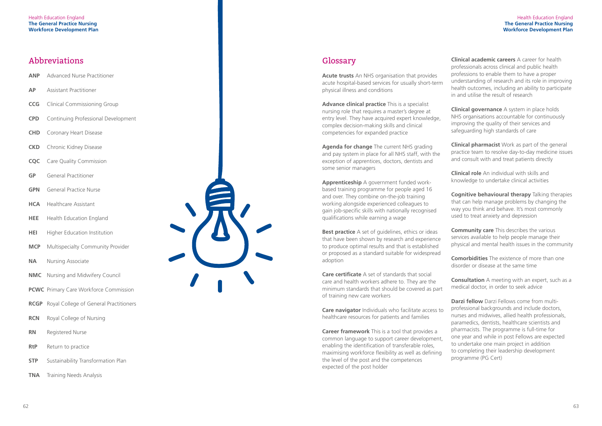# Abbreviations

- **ANP** Advanced Nurse Practitioner
- **AP** Assistant Practitioner
- **CCG** Clinical Commissioning Group
- **CPD** Continuing Professional Development
- **CHD** Coronary Heart Disease
- **CKD** Chronic Kidney Disease
- **CQC** Care Quality Commission
- **GP** General Practitioner
- **GPN** General Practice Nurse
- **HCA** Healthcare Assistant
- **HEE** Health Education England
- **HEI** Higher Education Institution
- **MCP** Multispecialty Community Provider
- **NA** Nursing Associate
- **NMC** Nursing and Midwifery Council
- **PCWC** Primary Care Workforce Commission
- **RCGP** Royal College of General Practitioners
- **RCN** Royal College of Nursing
- **RN** Registered Nurse
- **RtP** Return to practice
- **STP** Sustainability Transformation Plan
- **TNA** Training Needs Analysis

# Glossary

**Best practice** A set of guidelines, ethics or ideas that have been shown by research and experience to produce optimal results and that is established or proposed as a standard suitable for widespread adoption

**Acute trusts** An NHS organisation that provides acute hospital-based services for usually short-term physical illness and conditions

**Advance clinical practice** This is a specialist nursing role that requires a master's degree at entry level. They have acquired expert knowledge, complex decision-making skills and clinical competencies for expanded practice

**Agenda for change** The current NHS grading and pay system in place for all NHS staff, with the exception of apprentices, doctors, dentists and some senior managers

**Apprenticeship** A government funded workbased training programme for people aged 16 and over. They combine on-the-job training working alongside experienced colleagues to gain job-specific skills with nationally recognised qualifications while earning a wage

> **Consultation** A meeting with an expert, such as a medical doctor, in order to seek advice

**Care certificate** A set of standards that social care and health workers adhere to. They are the minimum standards that should be covered as part of training new care workers

**Care navigator** Individuals who facilitate access to healthcare resources for patients and families

**Career framework** This is a tool that provides a common language to support career development, enabling the identification of transferable roles, maximising workforce flexibility as well as defining the level of the post and the competences expected of the post holder

**Clinical academic careers** A career for health professionals across clinical and public health professions to enable them to have a proper understanding of research and its role in improving health outcomes, including an ability to participate in and utilise the result of research

**Clinical governance** A system in place holds NHS organisations accountable for continuously improving the quality of their services and safeguarding high standards of care

**Clinical pharmacist** Work as part of the general practice team to resolve day-to-day medicine issues and consult with and treat patients directly

**Clinical role** An individual with skills and knowledge to undertake clinical activities

**Cognitive behavioural therapy** Talking therapies that can help manage problems by changing the way you think and behave. It's most commonly used to treat anxiety and depression

**Community care** This describes the various services available to help people manage their physical and mental health issues in the community

**Comorbidities** The existence of more than one disorder or disease at the same time

**Darzi fellow** Darzi Fellows come from multiprofessional backgrounds and include doctors, nurses and midwives, allied health professionals, paramedics, dentists, healthcare scientists and pharmacists. The programme is full-time for one year and while in post Fellows are expected to undertake one main project in addition to completing their leadership development programme (PG Cert)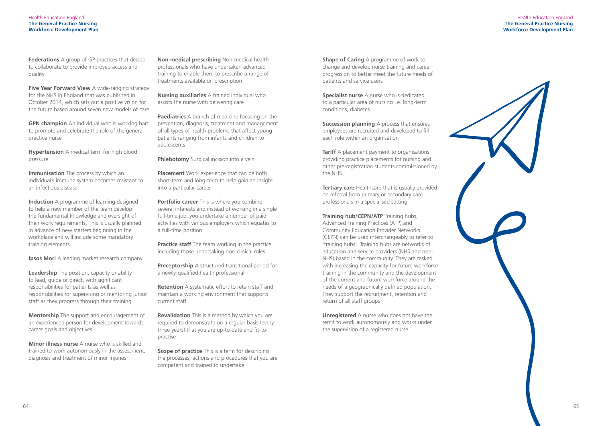Health Education England **The General Practice Nursing Workforce Development Plan**



**Federations** A group of GP practices that decide to collaborate to provide improved access and quality

**Five Year Forward View** A wide-ranging strategy for the NHS in England that was published in October 2014, which sets out a positive vision for the future based around seven new models of care

**Immunisation** The process by which an individual's immune system becomes resistant to an infectious disease

**Induction** A programme of learning designed to help a new member of the team develop the fundamental knowledge and oversight of their work requirements. This is usually planned in advance of new starters beginning in the workplace and will include some mandatory training elements

**GPN champion** An individual who is working hard to promote and celebrate the role of the general practice nurse

**Hypertension** A medical term for high blood pressure

**Minor illness nurse** A nurse who is skilled and trained to work autonomously in the assessment, diagnosis and treatment of minor injuries

**Paediatrics** A branch of medicine focusing on the prevention, diagnosis, treatment and management of all types of health problems that affect young patients ranging from infants and children to adolescents

**Phlebotomy** Surgical incision into a vein

**Ipsos Mori** A leading market research company

**Leadership** The position, capacity or ability to lead, quide or direct, with significant responsibilities for patients as well as responsibilities for supervising or mentoring junior staff as they progress through their training

**Portfolio career** This is where you combine several interests and instead of working in a single full-time job, you undertake a number of paid activities with various employers which equates to a full-time position

**Practice staff** The team working in the practice including those undertaking non-clinical roles

**Mentorship** The support and encouragement of an experienced person for development towards career goals and objectives

> **Scope of practice** This is a term for describing the processes, actions and procedures that you are competent and trained to undertake

**Shape of Caring** A programme of work to change and develop nurse training and career progression to better meet the future needs of patients and service users

**Specialist nurse** A nurse who is dedicated to a particular area of nursing i.e. long-term conditions, diabetes

**Non-medical prescribing** Non-medical health professionals who have undertaken advanced training to enable them to prescribe a range of treatments available on prescription

> **Succession planning** A process that ensures employees are recruited and developed to fill each role within an organisation

**Tariff** A placement payment to organisations providing practice placements for nursing and other pre-registration students commissioned by the NHS

**Nursing auxiliaries** A trained individual who assists the nurse with delivering care

**Placement** Work experience that can be both short-term and long-term to help gain an insight into a particular career

**Preceptorship** A structured transitional period for a newly-qualified health professional

**Retention** A systematic effort to retain staff and maintain a working environment that supports current staff

**Revalidation** This is a method by which you are required to demonstrate on a regular basis (every three years) that you are up-to-date and fit-topractise

**Tertiary care** Healthcare that is usually provided on referral from primary or secondary care professionals in a specialised setting

**Training hub/CEPN/ATP** Training hubs, Advanced Training Practices (ATP) and Community Education Provider Networks (CEPN) can be used interchangeably to refer to 'training hubs'. Training hubs are networks of education and service providers (NHS and non-NHS) based in the community. They are tasked with increasing the capacity for future workforce training in the community and the development of the current and future workforce around the needs of a geographically defined population. They support the recruitment, retention and return of all staff groups

**Unregistered** A nurse who does not have the remit to work autonomously and works under the supervision of a registered nurse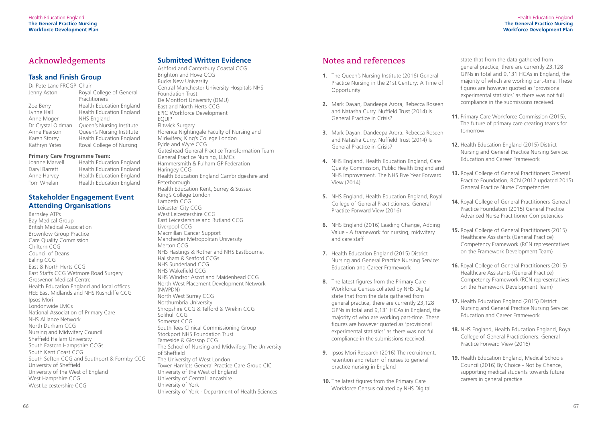# Acknowledgements

### **Task and Finish Group**

| Dr Pete Lane FRCGP Chair |                                 |  |  |
|--------------------------|---------------------------------|--|--|
| Jenny Aston              | Royal College of General        |  |  |
|                          | Practitioners                   |  |  |
| Zoe Berry                | <b>Health Education England</b> |  |  |
| Lynne Hall               | <b>Health Education England</b> |  |  |
| Anne Moger               | NHS England                     |  |  |
| Dr Crystal Oldman        | Queen's Nursing Institute       |  |  |
| Anne Pearson             | Queen's Nursing Institute       |  |  |
| Karen Storey             | <b>Health Education England</b> |  |  |
| Kathryn Yates            | Royal College of Nursing        |  |  |
|                          |                                 |  |  |

#### **Primary Care Programme Team:**

| Joanne Marvell | Health Education England        |  |
|----------------|---------------------------------|--|
| Daryl Barrett  | Health Education England        |  |
| Anne Harvey    | Health Education England        |  |
| Tom Whelan     | <b>Health Education England</b> |  |

#### th Education England th Education England th Education England

### **Stakeholder Engagement Event Attending Organisations**

Barnsley ATPs Bay Medical Group British Medical Association Brownlow Group Practice Care Quality Commission Chiltern CCG Council of Deans Ealing CCG East & North Herts CCG East Staffs CCG Wetmore Road Surgery Grosvenor Medical Centre Health Education England and local offices HEE East Midlands and NHS Rushcliffe CCG Ipsos Mori Londonwide LMCs National Association of Primary Care NHS Alliance Network North Durham CCG Nursing and Midwifery Council Sheffield Hallam University South Eastern Hampshire CCGs South Kent Coast CCG South Sefton CCG and Southport & Formby CCG University of Sheffield University of the West of England West Hampshire CCG West Leicestershire CCG

### **Submitted Written Evidence**

- **1.** The Queen's Nursing Institute (2016) General Practice Nursing in the 21st Century: A Time of Opportunity
- **2.** Mark Dayan, Dandeepa Arora, Rebecca Roseen and Natasha Curry. Nuffield Trust (2014) Is General Practice in Crisis?
- **3.** Mark Dayan, Dandeepa Arora, Rebecca Roseen and Natasha Curry. Nuffield Trust (2014) Is General Practice in Crisis?
- **4.** NHS England, Health Education England, Care Quality Commission, Public Health England and NHS Improvement. The NHS Five Year Forward View (2014)
- **5.** NHS England, Health Education England, Royal College of General Practictioners. General Practice Forward View (2016)
- **6.** NHS England (2016) Leading Change, Adding Value - A framework for nursing, midwifery and care staff
- **7.** Health Education England (2015) District Nursing and General Practice Nursing Service: Education and Career Framework
- **8.** The latest figures from the Primary Care Workforce Census collated by NHS Digital state that from the data gathered from general practice, there are currently 23,128 GPNs in total and 9,131 HCAs in England, the majority of who are working part-time. These figures are however quoted as 'provisional experimental statistics' as there was not full compliance in the submissions received.
- **9.** Ipsos Mori Research (2016) The recruitment, retention and return of nurses to general practice nursing in England
- **10.** The latest figures from the Primary Care Workforce Census collated by NHS Digital

Ashford and Canterbury Coastal CCG Brighton and Hove CCG Bucks New University Central Manchester University Hospitals NHS Foundation Trust De Montfort University (DMU) East and North Herts CCG EPIC Workforce Development EQUIP Flitwick Surgery Florence Nightingale Faculty of Nursing and Midwifery, King's College London Fylde and Wyre CCG Gateshead General Practice Transformation Team General Practice Nursing, LLMCs Hammersmith & Fulham GP Federation Haringey CCG Health Education England Cambridgeshire and Peterborough Health Education Kent, Surrey & Sussex King's College London Lambeth CCG Leicester City CCG West Leicestershire CCG East Leicestershire and Rutland CCG Liverpool CCG Macmillan Cancer Support Manchester Metropolitan University Merton CCG NHS Hastings & Rother and NHS Eastbourne, Hailsham & Seaford CCGs NHS Sunderland CCG NHS Wakefield CCG NHS Windsor Ascot and Maidenhead CCG North West Placement Development Network (NWPDN) North West Surrey CCG Northumbria University Shropshire CCG & Telford & Wrekin CCG Solihull CCG Somerset CCG South Tees Clinical Commissioning Group Stockport NHS Foundation Trust Tameside & Glossop CCG The School of Nursing and Midwifery, The University of Sheffield The University of West London Tower Hamlets General Practice Care Group CIC University of the West of England University of Central Lancashire University of York University of York - Department of Health Sciences

## Notes and references

state that from the data gathered from general practice, there are currently 23,128 GPNs in total and 9,131 HCAs in England, the majority of which are working part-time. These figures are however quoted as 'provisional experimental statistics' as there was not full compliance in the submissions received.

- **11.** Primary Care Workforce Commission (2015), The future of primary care creating teams for tomorrow
- **12.** Health Education England (2015) District Nursing and General Practice Nursing Service: Education and Career Framework
- **13.** Royal College of General Practitioners General Practice Foundation, RCN (2012 updated 2015) General Practice Nurse Competencies
- **14.** Royal College of General Practitioners General Practice Foundation (2015) General Practice Advanced Nurse Practitioner Competencies
- **15.** Royal College of General Practitioners (2015) Healthcare Assistants (General Practice) Competency Framework (RCN representatives on the Framework Development Team)
- **16.** Royal College of General Practitioners (2015) Healthcare Assistants (General Practice) Competency Framework (RCN representatives on the Framework Development Team)
- **17.** Health Education England (2015) District Nursing and General Practice Nursing Service: Education and Career Framework
- **18.** NHS England, Health Education England, Royal College of General Practictioners. General Practice Forward View (2016)
- **19.** Health Education England, Medical Schools Council (2016) By Choice - Not by Chance, supporting medical students towards future careers in general practice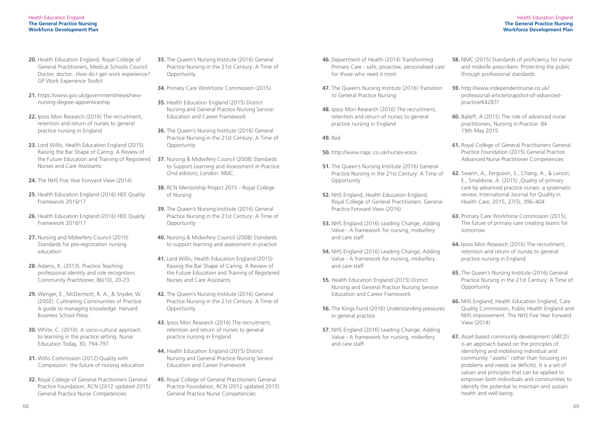#### Health Education England **The General Practice Nursing Workforce Development Plan**

- **20.** Health Education England, Royal College of General Practitioners, Medical Schools Council Doctor, doctor...How do I get work experience? GP Work Experience Toolkit
- **21.** https://www.gov.uk/government/news/newnursing-degree-apprenticeship
- **22.** Ipsos Mori Research (2016) The recruitment, retention and return of nurses to general practice nursing in England
- **23.** Lord Willis, Health Education England (2015) Raising the Bar Shape of Caring: A Review of Nurses and Care Assistants
- **24.** The NHS Five Year Forward View (2014)
- **25.** Health Education England (2016) HEE Quality Framework 2016/17
- **26.** Health Education England (2016) HEE Quality Framework 2016/17
- **27.** Nursing and Midwifery Council (2010) Standards for pre-registration nursing education
- **28.** Adams, K. (2013). Practice Teaching: professional identity and role recognition. Community Practitioner, 86(10), 20-23.
- **29.** Wenger, E., McDermott, R. A., & Snyder, W. (2002). Cultivating Communities of Practice: A guide to managing knowledge: Harvard Business School Press.
- **30.** White, C. (2010). A socio-cultural approach to learning in the practice setting. Nurse Education Today, 30, 794-797.
- **31.** Willis Commission (2012) Quality with Compassion: the future of nursing education
- **32.** Royal College of General Practitioners General Practice Foundation, RCN (2012 updated 2015) General Practice Nurse Competencies
- **33.** The Queen's Nursing Institute (2016) General Practice Nursing in the 21st Century: A Time of **Opportunity**
- **34.** Primary Care Workforce Commission (2015)
- **35.** Health Education England (2015) District Nursing and General Practice Nursing Service: Education and Career Framework
- **36.** The Queen's Nursing Institute (2016) General Practice Nursing in the 21st Century: A Time of **Opportunity**
- the Future Education and Training of Registered **37.** Nursing & Midwifery Council (2008) Standards to Support Learning and Assessment in Practice (2nd edition), London: NMC.
	- **38.** RCN Mentorship Project 2015 Royal College of Nursing
	- **39.** The Queen's Nursing Institute (2016) General Practice Nursing in the 21st Century: A Time of **Opportunity**
	- **40.** Nursing & Midwifery Council (2008) Standards to support learning and assessment in practice
	- **41.** Lord Willis, Health Education England (2015) Raising the Bar Shape of Caring: A Review of the Future Education and Training of Registered Nurses and Care Assistants
	- **42.** The Queen's Nursing Institute (2016) General Practice Nursing in the 21st Century: A Time of **Opportunity**
	- **43.** Ipsos Mori Research (2016) The recruitment, retention and return of nurses to general practice nursing in England
	- **44.** Health Education England (2015) District Nursing and General Practice Nursing Service Education and Career Framework
	- **45.** Royal College of General Practitioners General Practice Foundation, RCN (2012 updated 2015) General Practice Nurse Competencies
- **46.** Department of Health (2014) Transforming Primary Care - safe, proactive, personalised care for those who need it most
- **47.** The Queen's Nursing Institute (2016) Transition to General Practice Nursing
- **48.** Ipsos Mori Research (2016) The recruitment, retention and return of nurses to general practice nursing in England

#### **49.** Ibid

- **50.** http://www.napc.co.uk/nurses-voice
- **51.** The Queen's Nursing Institute (2016) General Practice Nursing in the 21st Century: A Time of **Opportunity**
- **52.** NHS England, Health Education England, Royal College of General Practitioners. General Practice Forward View (2016)
- **53.** NHS England (2016) Leading Change, Adding Value - A framework for nursing, midwifery and care staff
- **54.** NHS England (2016) Leading Change, Adding Value - A framework for nursing, midwifery and care staff
- **55.** Health Education England (2015) District Nursing and General Practice Nursing Service: Education and Career Framework
- **56.** The Kings Fund (2016) Understanding pressures in general practice
- **57.** NHS England (2016) Leading Change, Adding Value - A framework for nursing, midwifery and care staff
- **58.** NMC (2015) Standards of proficiency for nurse and midwife prescribers: Protecting the public through professional standards
- **59.** http://www.independentnurse.co.uk/ professional-article/snapshot-of-advancedpractice/64287/
- **60.** Baileff, A (2015) The role of advanced nurse practitioners, Nursing in Practice: 84 19th May 2015
- **61.** Royal College of General Practitioners General Practice Foundation (2015) General Practice Advanced Nurse Practitioner Competencies
- **62.** Swann, A., Ferguson, S., Chang, A., & Larson, E., Smaldone, A. (2015) ,Quality of primary care by advanced practice nurses: a systematic review, International Journal for Quality in Health Care, 2015, 27(5), 396–404
- **63.** Primary Care Workforce Commission (2015), The future of primary care creating teams for tomorrow
- **64.** Ipsos Mori Research (2016) The recruitment, retention and return of nurses to general practice nursing in England
- **65.** The Queen's Nursing Institute (2016) General Practice Nursing in the 21st Century: A Time of **Opportunity**
- **66.** NHS England, Health Education England, Care Quality Commission, Public Health England and NHS Improvement. The NHS Five Year Forward View (2014)
- **67.** Asset based community development (ABCD) is an approach based on the principles of identifying and mobilising individual and community "assets" rather than focusing on problems and needs (ie deficits). It is a set of values and principles that can be applied to empower both individuals and communities to identify the potential to maintain and sustain health and well being.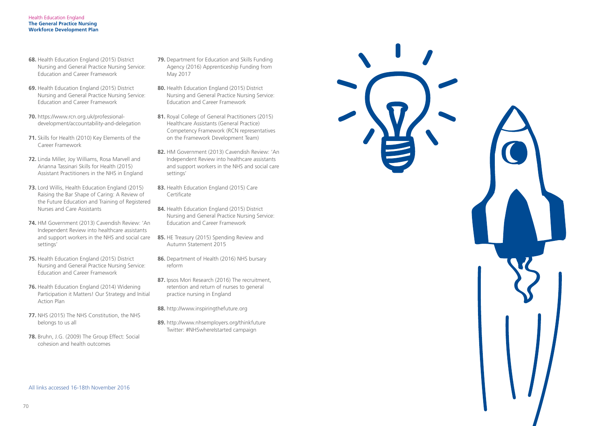- **79.** Department for Education and Skills Funding Agency (2016) Apprenticeship Funding from May 2017
- **80.** Health Education England (2015) District Nursing and General Practice Nursing Service: Education and Career Framework
- 81. Royal College of General Practitioners (2015) Healthcare Assistants (General Practice) Competency Framework (RCN representatives on the Framework Development Team)
- **82.** HM Government (2013) Cavendish Review: 'An Independent Review into healthcare assistants and support workers in the NHS and social care settings'
- **83.** Health Education England (2015) Care **Certificate**
- **84.** Health Education England (2015) District Nursing and General Practice Nursing Service: Education and Career Framework
- **85.** HE Treasury (2015) Spending Review and Autumn Statement 2015
- **86.** Department of Health (2016) NHS bursary reform
- **87.** Ipsos Mori Research (2016) The recruitment, retention and return of nurses to general practice nursing in England
- **88.** http://www.inspiringthefuture.org
- **89.** http://www.nhsemployers.org/thinkfuture Twitter: #NHSwhereIstarted campaign



- **68.** Health Education England (2015) District Nursing and General Practice Nursing Service: Education and Career Framework
- **69.** Health Education England (2015) District Nursing and General Practice Nursing Service: Education and Career Framework
- **70.** https://www.rcn.org.uk/professionaldevelopment/accountability-and-delegation
- **71.** Skills for Health (2010) Key Elements of the Career Framework
- **72.** Linda Miller, Joy Williams, Rosa Marvell and Arianna Tassinari Skills for Health (2015) Assistant Practitioners in the NHS in England
- **73.** Lord Willis, Health Education England (2015) Raising the Bar Shape of Caring: A Review of the Future Education and Training of Registered Nurses and Care Assistants
- **74.** HM Government (2013) Cavendish Review: 'An Independent Review into healthcare assistants and support workers in the NHS and social care settings'
- **75.** Health Education England (2015) District Nursing and General Practice Nursing Service: Education and Career Framework
- **76.** Health Education England (2014) Widening Participation it Matters! Our Strategy and Initial Action Plan
- **77.** NHS (2015) The NHS Constitution, the NHS belongs to us all
- **78.** Bruhn, J.G. (2009) The Group Effect: Social cohesion and health outcomes